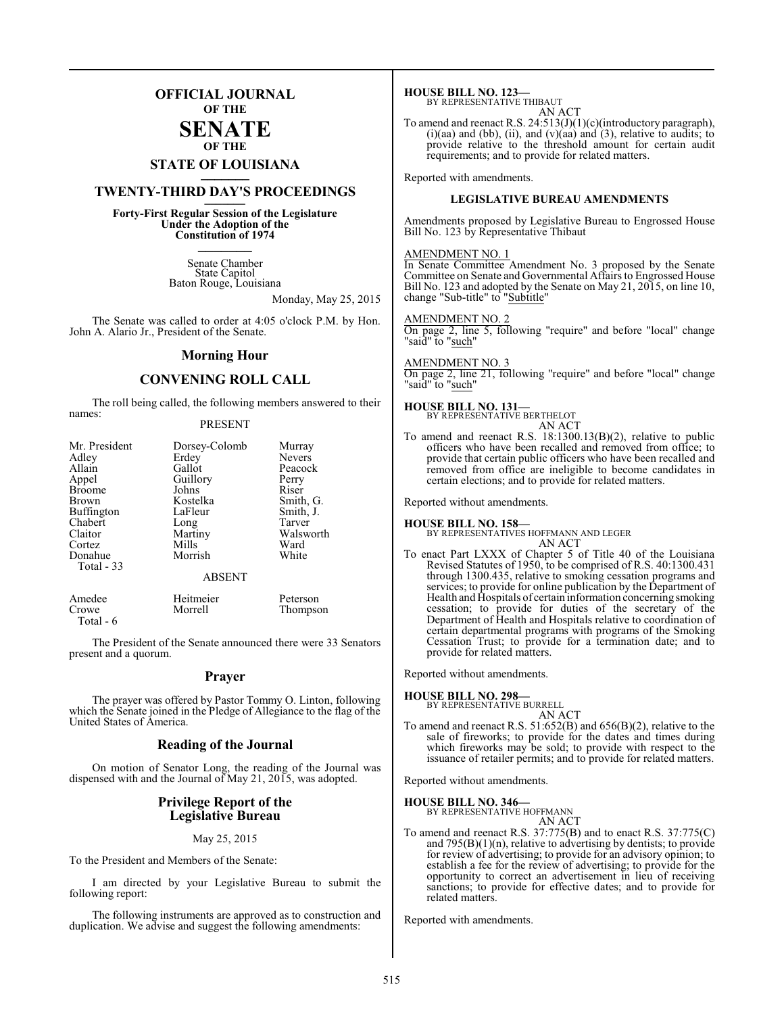### **OFFICIAL JOURNAL OF THE**

#### **SENATE OF THE**

# **STATE OF LOUISIANA \_\_\_\_\_\_\_**

## **TWENTY-THIRD DAY'S PROCEEDINGS \_\_\_\_\_\_\_**

**Forty-First Regular Session of the Legislature Under the Adoption of the Constitution of 1974 \_\_\_\_\_\_\_**

> Senate Chamber State Capitol Baton Rouge, Louisiana

> > Monday, May 25, 2015

The Senate was called to order at 4:05 o'clock P.M. by Hon. John A. Alario Jr., President of the Senate.

#### **Morning Hour**

#### **CONVENING ROLL CALL**

The roll being called, the following members answered to their names:

#### PRESENT

| Mr. President<br>Adley<br>Allain<br>Appel<br><b>Broome</b><br>Brown<br><b>Buffington</b><br>Chabert<br>Claitor<br>Cortez<br>Donahue<br>Total $-33$ | Dorsey-Colomb<br>Erdey<br>Gallot<br>Guillory<br>Johns<br>Kostelka<br>LaFleur<br>Long<br>Martiny<br>Mills<br>Morrish | Murray<br><b>Nevers</b><br>Peacock<br>Perry<br>Riser<br>Smith, G.<br>Smith, J.<br>Tarver<br>Walsworth<br>Ward<br>White |
|----------------------------------------------------------------------------------------------------------------------------------------------------|---------------------------------------------------------------------------------------------------------------------|------------------------------------------------------------------------------------------------------------------------|
|                                                                                                                                                    | <b>ABSENT</b>                                                                                                       |                                                                                                                        |

| Amedee    | Heitmeier | Peterson |
|-----------|-----------|----------|
| Crowe     | Morrell   | Thompson |
| Total - 6 |           |          |

The President of the Senate announced there were 33 Senators present and a quorum.

#### **Prayer**

The prayer was offered by Pastor Tommy O. Linton, following which the Senate joined in the Pledge of Allegiance to the flag of the United States of America.

#### **Reading of the Journal**

On motion of Senator Long, the reading of the Journal was dispensed with and the Journal of May 21, 2015, was adopted.

#### **Privilege Report of the Legislative Bureau**

#### May 25, 2015

To the President and Members of the Senate:

I am directed by your Legislative Bureau to submit the following report:

The following instruments are approved as to construction and duplication. We advise and suggest the following amendments:

**HOUSE BILL NO. 123—** BY REPRESENTATIVE THIBAUT

AN ACT

To amend and reenact R.S. 24:513(J)(1)(c)(introductory paragraph),  $(i)(aa)$  and  $(bb)$ ,  $(ii)$ , and  $(v)(aa)$  and  $(3)$ , relative to audits; to provide relative to the threshold amount for certain audit requirements; and to provide for related matters.

Reported with amendments.

#### **LEGISLATIVE BUREAU AMENDMENTS**

Amendments proposed by Legislative Bureau to Engrossed House Bill No. 123 by Representative Thibaut

#### AMENDMENT NO. 1

In Senate Committee Amendment No. 3 proposed by the Senate Committee on Senate and Governmental Affairs to Engrossed House Bill No. 123 and adopted by the Senate on May 21, 2015, on line 10, change "Sub-title" to "Subtitle"

#### AMENDMENT NO. 2

On page 2, line 5, following "require" and before "local" change "said" to "<u>such</u>"

#### AMENDMENT NO. 3

On page 2, line 21, following "require" and before "local" change "said" to "such"

#### **HOUSE BILL NO. 131—**

BY REPRESENTATIVE BERTHELOT AN ACT

To amend and reenact R.S. 18:1300.13(B)(2), relative to public officers who have been recalled and removed from office; to provide that certain public officers who have been recalled and removed from office are ineligible to become candidates in certain elections; and to provide for related matters.

Reported without amendments.

#### **HOUSE BILL NO. 158—**

BY REPRESENTATIVES HOFFMANN AND LEGER AN ACT

To enact Part LXXX of Chapter 5 of Title 40 of the Louisiana Revised Statutes of 1950, to be comprised of R.S. 40:1300.431 through 1300.435, relative to smoking cessation programs and services; to provide for online publication by the Department of Health and Hospitals of certain information concerning smoking cessation; to provide for duties of the secretary of the Department of Health and Hospitals relative to coordination of certain departmental programs with programs of the Smoking Cessation Trust; to provide for a termination date; and to provide for related matters.

Reported without amendments.

#### **HOUSE BILL NO. 298—**

BY REPRESENTATIVE BURRELL AN ACT

To amend and reenact R.S. 51:652(B) and 656(B)(2), relative to the sale of fireworks; to provide for the dates and times during which fireworks may be sold; to provide with respect to the issuance of retailer permits; and to provide for related matters.

Reported without amendments.

## **HOUSE BILL NO. 346—** BY REPRESENTATIVE HOFFMANN

AN ACT

To amend and reenact R.S. 37:775(B) and to enact R.S. 37:775(C) and  $795(B)(1)(n)$ , relative to advertising by dentists; to provide for review of advertising; to provide for an advisory opinion; to establish a fee for the review of advertising; to provide for the opportunity to correct an advertisement in lieu of receiving sanctions; to provide for effective dates; and to provide for related matters.

Reported with amendments.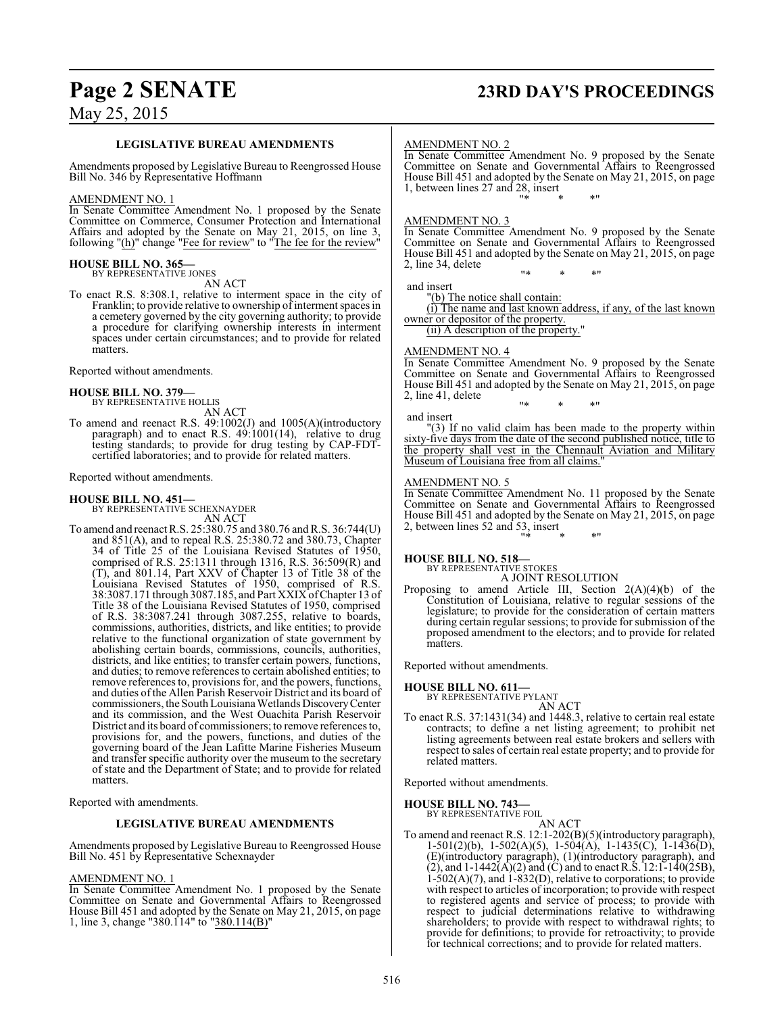## **Page 2 SENATE 23RD DAY'S PROCEEDINGS**

May 25, 2015

#### **LEGISLATIVE BUREAU AMENDMENTS**

Amendments proposed by Legislative Bureau to Reengrossed House Bill No. 346 by Representative Hoffmann

#### AMENDMENT NO. 1

In Senate Committee Amendment No. 1 proposed by the Senate Committee on Commerce, Consumer Protection and International Affairs and adopted by the Senate on May 21, 2015, on line 3, following "(h)" change "Fee for review" to "The fee for the review'

#### **HOUSE BILL NO. 365—** BY REPRESENTATIVE JONES

AN ACT

To enact R.S. 8:308.1, relative to interment space in the city of Franklin; to provide relative to ownership of interment spaces in a cemetery governed by the city governing authority; to provide a procedure for clarifying ownership interests in interment spaces under certain circumstances; and to provide for related matters.

Reported without amendments.

## **HOUSE BILL NO. 379—** BY REPRESENTATIVE HOLLIS

AN ACT

To amend and reenact R.S. 49:1002(J) and 1005(A)(introductory paragraph) and to enact R.S. 49:1001(14), relative to drug testing standards; to provide for drug testing by CAP-FDTcertified laboratories; and to provide for related matters.

Reported without amendments.

#### **HOUSE BILL NO. 451—**

BY REPRESENTATIVE SCHEXNAYDER AN ACT

To amend and reenact R.S. 25:380.75 and 380.76 and R.S. 36:744(U) and 851(A), and to repeal R.S. 25:380.72 and 380.73, Chapter 34 of Title 25 of the Louisiana Revised Statutes of 1950, comprised of R.S. 25:1311 through 1316, R.S. 36:509(R) and (T), and 801.14, Part XXV of Chapter 13 of Title 38 of the Louisiana Revised Statutes of 1950, comprised of R.S. 38:3087.171 through 3087.185, and Part XXIX ofChapter 13 of Title 38 of the Louisiana Revised Statutes of 1950, comprised of R.S. 38:3087.241 through 3087.255, relative to boards, commissions, authorities, districts, and like entities; to provide relative to the functional organization of state government by abolishing certain boards, commissions, councils, authorities, districts, and like entities; to transfer certain powers, functions, and duties; to remove references to certain abolished entities; to remove references to, provisions for, and the powers, functions, and duties of the Allen Parish Reservoir District and its board of commissioners, the South Louisiana Wetlands Discovery Center and its commission, and the West Ouachita Parish Reservoir District and its board of commissioners; to remove references to, provisions for, and the powers, functions, and duties of the governing board of the Jean Lafitte Marine Fisheries Museum and transfer specific authority over the museum to the secretary of state and the Department of State; and to provide for related matters.

Reported with amendments.

#### **LEGISLATIVE BUREAU AMENDMENTS**

Amendments proposed by Legislative Bureau to Reengrossed House Bill No. 451 by Representative Schexnayder

#### AMENDMENT NO. 1

In Senate Committee Amendment No. 1 proposed by the Senate Committee on Senate and Governmental Affairs to Reengrossed House Bill 451 and adopted by the Senate on May 21, 2015, on page 1, line 3, change "380.114" to "380.114(B)"

#### AMENDMENT NO. 2

In Senate Committee Amendment No. 9 proposed by the Senate Committee on Senate and Governmental Affairs to Reengrossed House Bill 451 and adopted by the Senate on May 21, 2015, on page 1, between lines 27 and 28, insert "\* \* \*"

### AMENDMENT NO. 3

In Senate Committee Amendment No. 9 proposed by the Senate Committee on Senate and Governmental Affairs to Reengrossed House Bill 451 and adopted by the Senate on May 21, 2015, on page 2, line 34, delete

"\* \* \*"

and insert

"(b) The notice shall contain:

(i) The name and last known address, if any, of the last known owner or depositor of the property.

(ii) A description of the property.

#### AMENDMENT NO. 4

In Senate Committee Amendment No. 9 proposed by the Senate Committee on Senate and Governmental Affairs to Reengrossed House Bill 451 and adopted by the Senate on May 21, 2015, on page 2, line 41, delete

"\* \* \*"

#### and insert

"(3) If no valid claim has been made to the property within sixty-five days from the date of the second published notice, title to the property shall vest in the Chennault Aviation and Military Museum of Louisiana free from all claims."

#### AMENDMENT NO. 5

In Senate Committee Amendment No. 11 proposed by the Senate Committee on Senate and Governmental Affairs to Reengrossed House Bill 451 and adopted by the Senate on May 21, 2015, on page 2, between lines 52 and 53, insert "\* \* \*"

## **HOUSE BILL NO. 518—** BY REPRESENTATIVE STOKES

A JOINT RESOLUTION

Proposing to amend Article III, Section 2(A)(4)(b) of the Constitution of Louisiana, relative to regular sessions of the legislature; to provide for the consideration of certain matters during certain regular sessions; to provide for submission of the proposed amendment to the electors; and to provide for related matters.

Reported without amendments.

## **HOUSE BILL NO. 611—** BY REPRESENTATIVE PYLANT

AN ACT

To enact R.S. 37:1431(34) and 1448.3, relative to certain real estate contracts; to define a net listing agreement; to prohibit net listing agreements between real estate brokers and sellers with respect to sales of certain real estate property; and to provide for related matters.

Reported without amendments.

**HOUSE BILL NO. 743—**

BY REPRESENTATIVE FOIL AN ACT

To amend and reenact R.S. 12:1-202(B)(5)(introductory paragraph), 1-501(2)(b), 1-502(A)(5), 1-504(A), 1-1435(C), 1-1436(D), (E)(introductory paragraph), (1)(introductory paragraph), and (2), and  $1-1442(A)(2)$  and (C) and to enact R.S.  $12:1-140(25B)$ ,  $1-502(A)(7)$ , and  $1-832(D)$ , relative to corporations; to provide with respect to articles of incorporation; to provide with respect to registered agents and service of process; to provide with respect to judicial determinations relative to withdrawing shareholders; to provide with respect to withdrawal rights; to provide for definitions; to provide for retroactivity; to provide for technical corrections; and to provide for related matters.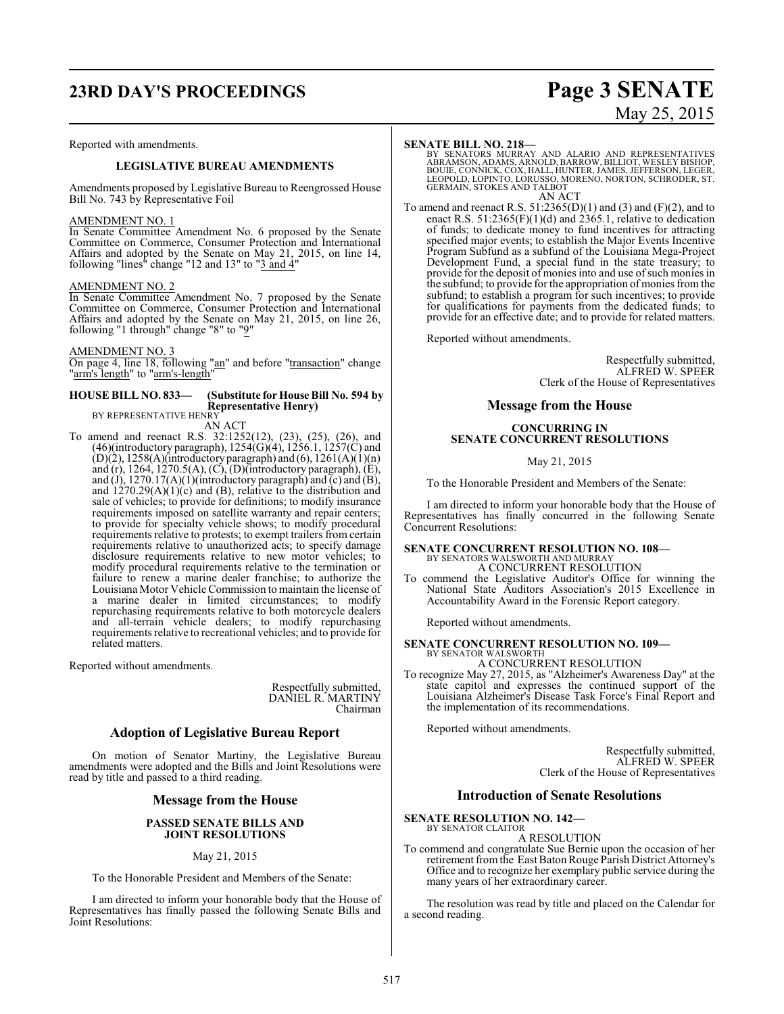# **23RD DAY'S PROCEEDINGS Page 3 SENATE**

#### Reported with amendments.

#### **LEGISLATIVE BUREAU AMENDMENTS**

Amendments proposed by Legislative Bureau to Reengrossed House Bill No. 743 by Representative Foil

#### AMENDMENT NO. 1

In Senate Committee Amendment No. 6 proposed by the Senate Committee on Commerce, Consumer Protection and International Affairs and adopted by the Senate on May 21, 2015, on line 14, following "lines" change "12 and 13" to "3 and 4"

#### AMENDMENT NO. 2

In Senate Committee Amendment No. 7 proposed by the Senate Committee on Commerce, Consumer Protection and International Affairs and adopted by the Senate on May 21, 2015, on line 26, following "1 through" change "8" to "9"

#### AMENDMENT NO. 3

On page 4, line 18, following "an" and before "transaction" change "arm's length" to "arm's-length"

#### **HOUSE BILL NO. 833— (Substitute for House Bill No. 594 by Representative Henry)** BY REPRESENTATIVE HENRY

AN ACT

To amend and reenact R.S. 32:1252(12), (23), (25), (26), and (46)(introductory paragraph),  $1254(G)(4)$ ,  $1256.1$ ,  $1257(C)$  and  $(D)(2)$ , 1258(A)(introductory paragraph) and (6), 1261(A)(1)(n) and (r), 1264, 1270.5(A), (C), (D)(introductory paragraph), (E), and (J), 1270.17(A)(1)(introductory paragraph) and  $\overline{c}$ ) and  $\overline{B}$ ), and 1270.29(A)(1)(c) and (B), relative to the distribution and sale of vehicles; to provide for definitions; to modify insurance requirements imposed on satellite warranty and repair centers; to provide for specialty vehicle shows; to modify procedural requirements relative to protests; to exempt trailers from certain requirements relative to unauthorized acts; to specify damage disclosure requirements relative to new motor vehicles; to modify procedural requirements relative to the termination or failure to renew a marine dealer franchise; to authorize the Louisiana Motor Vehicle Commission to maintain the license of a marine dealer in limited circumstances; to modify repurchasing requirements relative to both motorcycle dealers and all-terrain vehicle dealers; to modify repurchasing requirements relative to recreational vehicles; and to provide for related matters.

Reported without amendments.

Respectfully submitted, DANIEL R. MARTINY Chairman

#### **Adoption of Legislative Bureau Report**

On motion of Senator Martiny, the Legislative Bureau amendments were adopted and the Bills and Joint Resolutions were read by title and passed to a third reading.

#### **Message from the House**

#### **PASSED SENATE BILLS AND JOINT RESOLUTIONS**

#### May 21, 2015

To the Honorable President and Members of the Senate:

I am directed to inform your honorable body that the House of Representatives has finally passed the following Senate Bills and Joint Resolutions:

# May 25, 2015

#### **SENATE BILL NO. 218—**

BY SENATORS MURRAY AND ALARIO AND REPRESENTATIVES<br>ABRAMSON,ADAMS,ARNOLD,BARROW,BILLIOT,WESLEYBISHOP,<br>BOUIE,CONNICK,COX,HALL,HUNTER,JAMES,JEFFERSON,LEGER,<br>LEOPOLD,LOPINTO,LORUSSO,MORENO,NORTON,SCHRODER,ST.<br>GERMAIN,STOKES AN AN ACT

To amend and reenact R.S.  $51:2365(D)(1)$  and  $(3)$  and  $(F)(2)$ , and to enact R.S. 51:2365(F)(1)(d) and 2365.1, relative to dedication of funds; to dedicate money to fund incentives for attracting specified major events; to establish the Major Events Incentive Program Subfund as a subfund of the Louisiana Mega-Project Development Fund, a special fund in the state treasury; to provide for the deposit of monies into and use of such monies in the subfund; to provide for the appropriation of monies from the subfund; to establish a program for such incentives; to provide for qualifications for payments from the dedicated funds; to provide for an effective date; and to provide for related matters.

Reported without amendments.

Respectfully submitted, ALFRED W. SPEER Clerk of the House of Representatives

#### **Message from the House**

#### **CONCURRING IN SENATE CONCURRENT RESOLUTIONS**

May 21, 2015

To the Honorable President and Members of the Senate:

I am directed to inform your honorable body that the House of Representatives has finally concurred in the following Senate Concurrent Resolutions:

### **SENATE CONCURRENT RESOLUTION NO. 108—** BY SENATORS WALSWORTH AND MURRAY A CONCURRENT RESOLUTION

To commend the Legislative Auditor's Office for winning the National State Auditors Association's 2015 Excellence in Accountability Award in the Forensic Report category.

Reported without amendments.

#### **SENATE CONCURRENT RESOLUTION NO. 109—** BY SENATOR WALSWORTH

A CONCURRENT RESOLUTION

To recognize May 27, 2015, as "Alzheimer's Awareness Day" at the state capitol and expresses the continued support of the Louisiana Alzheimer's Disease Task Force's Final Report and the implementation of its recommendations.

Reported without amendments.

Respectfully submitted, ALFRED W. SPEER Clerk of the House of Representatives

#### **Introduction of Senate Resolutions**

**SENATE RESOLUTION NO. 142—** BY SENATOR CLAITOR

#### A RESOLUTION

To commend and congratulate Sue Bernie upon the occasion of her retirement fromthe East Baton Rouge Parish District Attorney's Office and to recognize her exemplary public service during the many years of her extraordinary career.

The resolution was read by title and placed on the Calendar for a second reading.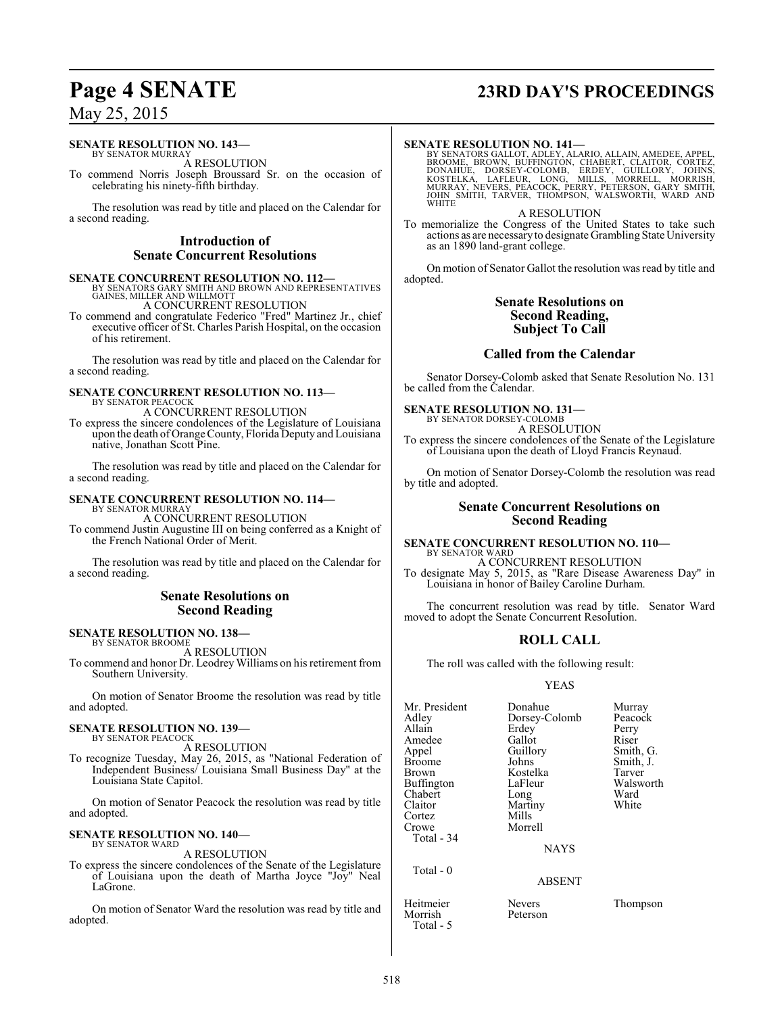# **Page 4 SENATE 23RD DAY'S PROCEEDINGS**

May 25, 2015

#### **SENATE RESOLUTION NO. 143—**

BY SENATOR MURRAY A RESOLUTION

To commend Norris Joseph Broussard Sr. on the occasion of celebrating his ninety-fifth birthday.

The resolution was read by title and placed on the Calendar for a second reading.

#### **Introduction of Senate Concurrent Resolutions**

**SENATE CONCURRENT RESOLUTION NO. 112—**<br>BY SENATORS GARY SMITH AND BROWN AND REPRESENTATIVES<br>GAINES, MILLER AND WILLMOTT A CONCURRENT RESOLUTION

To commend and congratulate Federico "Fred" Martinez Jr., chief executive officer of St. Charles Parish Hospital, on the occasion of his retirement.

The resolution was read by title and placed on the Calendar for a second reading.

## **SENATE CONCURRENT RESOLUTION NO. 113—** BY SENATOR PEACOCK

A CONCURRENT RESOLUTION

To express the sincere condolences of the Legislature of Louisiana upon the death of Orange County, Florida Deputy and Louisiana native, Jonathan Scott Pine.

The resolution was read by title and placed on the Calendar for a second reading.

#### **SENATE CONCURRENT RESOLUTION NO. 114—**

BY SENATOR MURRAY A CONCURRENT RESOLUTION

To commend Justin Augustine III on being conferred as a Knight of the French National Order of Merit.

The resolution was read by title and placed on the Calendar for a second reading.

#### **Senate Resolutions on Second Reading**

**SENATE RESOLUTION NO. 138—**

BY SENATOR BROOME A RESOLUTION

To commend and honor Dr. Leodrey Williams on his retirement from Southern University.

On motion of Senator Broome the resolution was read by title and adopted.

#### **SENATE RESOLUTION NO. 139—** BY SENATOR PEACOCK

A RESOLUTION

To recognize Tuesday, May 26, 2015, as "National Federation of Independent Business/ Louisiana Small Business Day" at the Louisiana State Capitol.

On motion of Senator Peacock the resolution was read by title and adopted.

#### **SENATE RESOLUTION NO. 140—** BY SENATOR WARD

A RESOLUTION

To express the sincere condolences of the Senate of the Legislature of Louisiana upon the death of Martha Joyce "Joy" Neal LaGrone.

On motion of Senator Ward the resolution was read by title and adopted.

#### **SENATE RESOLUTION NO. 141—**

BY SENATORS GALLOT, ADLEY, ALARIO, ALLAIN, AMEDEE, APPEL,<br>BROOME, BROWN, BUFFINGTON, CHABERT, CLAITOR, CORTEZ,<br>DONAHUE, DORSEY-COLOMB, ERDEY, GUILLORY, JOHNS,<br>KOSTELKA, LAFLEUR, LONG, MILLS, MORRELL, MORRISH,<br>MURRAY, NEVER A RESOLUTION

To memorialize the Congress of the United States to take such actions as are necessaryto designate Grambling State University as an 1890 land-grant college.

On motion of Senator Gallot the resolution was read by title and adopted.

#### **Senate Resolutions on Second Reading, Subject To Call**

#### **Called from the Calendar**

Senator Dorsey-Colomb asked that Senate Resolution No. 131 be called from the Calendar.

## **SENATE RESOLUTION NO. 131—** BY SENATOR DORSEY-COLOMB

A RESOLUTION To express the sincere condolences of the Senate of the Legislature of Louisiana upon the death of Lloyd Francis Reynaud.

On motion of Senator Dorsey-Colomb the resolution was read by title and adopted.

#### **Senate Concurrent Resolutions on Second Reading**

**SENATE CONCURRENT RESOLUTION NO. 110—** BY SENATOR WARD

A CONCURRENT RESOLUTION To designate May 5, 2015, as "Rare Disease Awareness Day" in Louisiana in honor of Bailey Caroline Durham.

The concurrent resolution was read by title. Senator Ward moved to adopt the Senate Concurrent Resolution.

#### **ROLL CALL**

The roll was called with the following result:

#### YEAS

| Mr. President<br>Adlev<br>Allain<br>Amedee<br>Appel<br><b>Broome</b><br>Brown<br>Buffington<br>Chabert<br>Claitor<br>Cortez<br>Crowe<br>Total - 34 | Donahue<br>Dorsey-Colomb<br>Erdey<br>Gallot<br>Guillory<br>Johns<br>Kostelka<br>LaFleur<br>Long<br>Martiny<br>Mills<br>Morrell<br><b>NAYS</b> | Murray<br>Peacock<br>Perry<br>Riser<br>Smith, G.<br>Smith, J.<br>Tarver<br>Walsworth<br>Ward<br>White |
|----------------------------------------------------------------------------------------------------------------------------------------------------|-----------------------------------------------------------------------------------------------------------------------------------------------|-------------------------------------------------------------------------------------------------------|
| Total - 0                                                                                                                                          | <b>ABSENT</b>                                                                                                                                 |                                                                                                       |
|                                                                                                                                                    |                                                                                                                                               |                                                                                                       |

Heitmeier Nevers Thompson<br>Morrish Peterson Morrish Total - 5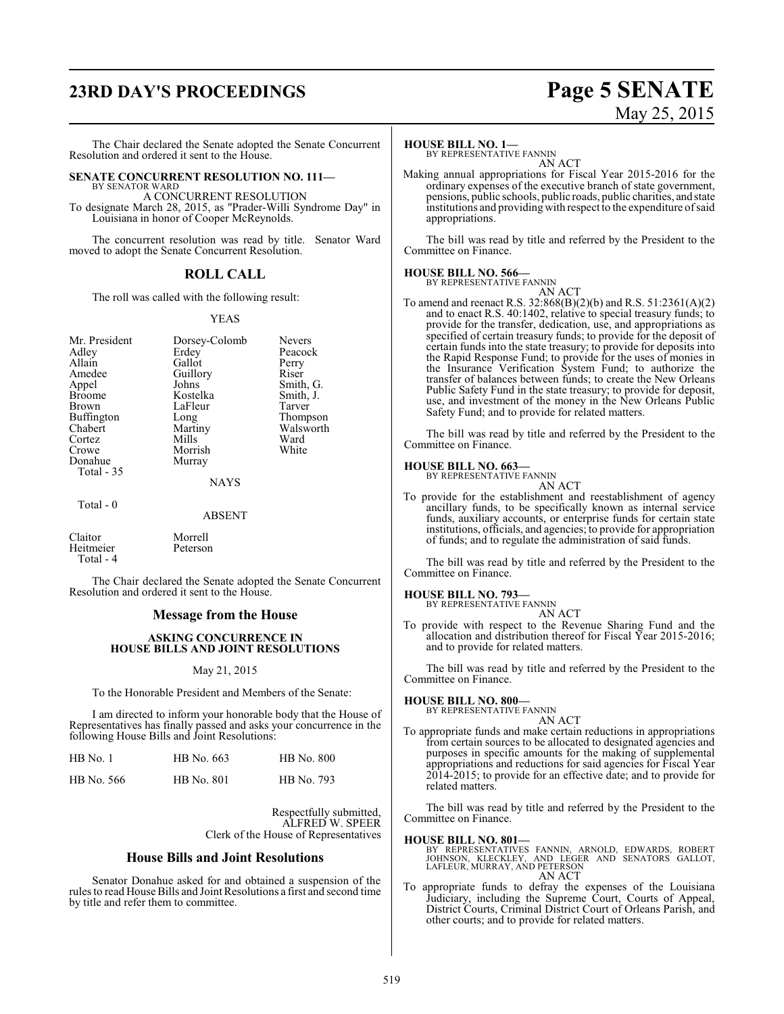## **23RD DAY'S PROCEEDINGS Page 5 SENATE**

# May 25, 2015

The Chair declared the Senate adopted the Senate Concurrent Resolution and ordered it sent to the House.

#### **SENATE CONCURRENT RESOLUTION NO. 111—** BY SENATOR WARD

A CONCURRENT RESOLUTION To designate March 28, 2015, as "Prader-Willi Syndrome Day" in Louisiana in honor of Cooper McReynolds.

The concurrent resolution was read by title. Senator Ward moved to adopt the Senate Concurrent Resolution.

### **ROLL CALL**

The roll was called with the following result:

#### YEAS

| Mr. President<br>Adley<br>Allain<br>Amedee<br>Appel<br><b>Broome</b><br>Brown<br>Buffington<br>Chabert<br>Cortez<br>Crowe<br>Donahue<br>Total - 35 | Dorsey-Colomb<br>Erdey<br>Gallot<br>Guillory<br>Johns<br>Kostelka<br>LaFleur<br>Long<br>Martiny<br>Mills<br>Morrish<br>Murray<br><b>NAYS</b> | <b>Nevers</b><br>Peacoc<br>Perry<br>Riser<br>Smith,<br>Smith,<br>Tarver<br>Thomp<br>Walsw<br>Ward<br>White |
|----------------------------------------------------------------------------------------------------------------------------------------------------|----------------------------------------------------------------------------------------------------------------------------------------------|------------------------------------------------------------------------------------------------------------|
| Total - 0                                                                                                                                          |                                                                                                                                              |                                                                                                            |

Adley Erdey Peacock Perry<br>Riser s<br>
Appel Smith, G.<br>
Appeliate Smith, J. elka Smith, J.<br>eur Tarver Tarver g Thompson<br>iny Walsworth Walsworth<br>Ward

ABSENT

Claitor Morrell<br>
Heitmeier Peterson Heitmeier Total - 4

The Chair declared the Senate adopted the Senate Concurrent Resolution and ordered it sent to the House.

#### **Message from the House**

#### **ASKING CONCURRENCE IN HOUSE BILLS AND JOINT RESOLUTIONS**

#### May 21, 2015

To the Honorable President and Members of the Senate:

I am directed to inform your honorable body that the House of Representatives has finally passed and asks your concurrence in the following House Bills and Joint Resolutions:

| $HB$ No. 1 | HB No. 663        | <b>HB</b> No. 800 |
|------------|-------------------|-------------------|
| HB No. 566 | <b>HB</b> No. 801 | HB No. 793        |

Respectfully submitted, ALFRED W. SPEER Clerk of the House of Representatives

#### **House Bills and Joint Resolutions**

Senator Donahue asked for and obtained a suspension of the rules to read House Bills and Joint Resolutions a first and second time by title and refer them to committee.

#### **HOUSE BILL NO. 1—**

BY REPRESENTATIVE FANNIN AN ACT

Making annual appropriations for Fiscal Year 2015-2016 for the ordinary expenses of the executive branch of state government, pensions, public schools, public roads, public charities, and state institutions and providing with respect to the expenditure of said appropriations.

The bill was read by title and referred by the President to the Committee on Finance.

#### **HOUSE BILL NO. 566—**

BY REPRESENTATIVE FANNIN

AN ACT To amend and reenact R.S. 32:868(B)(2)(b) and R.S. 51:2361(A)(2) and to enact R.S. 40:1402, relative to special treasury funds; to provide for the transfer, dedication, use, and appropriations as specified of certain treasury funds; to provide for the deposit of certain funds into the state treasury; to provide for deposits into the Rapid Response Fund; to provide for the uses of monies in the Insurance Verification System Fund; to authorize the transfer of balances between funds; to create the New Orleans Public Safety Fund in the state treasury; to provide for deposit, use, and investment of the money in the New Orleans Public Safety Fund; and to provide for related matters.

The bill was read by title and referred by the President to the Committee on Finance.

#### **HOUSE BILL NO. 663—**

BY REPRESENTATIVE FANNIN AN ACT

To provide for the establishment and reestablishment of agency ancillary funds, to be specifically known as internal service funds, auxiliary accounts, or enterprise funds for certain state institutions, officials, and agencies; to provide for appropriation of funds; and to regulate the administration of said funds.

The bill was read by title and referred by the President to the Committee on Finance.

#### **HOUSE BILL NO. 793—**

BY REPRESENTATIVE FANNIN

AN ACT

To provide with respect to the Revenue Sharing Fund and the allocation and distribution thereof for Fiscal Year 2015-2016; and to provide for related matters.

The bill was read by title and referred by the President to the Committee on Finance.

#### **HOUSE BILL NO. 800—**

BY REPRESENTATIVE FANNIN

- AN ACT
- To appropriate funds and make certain reductions in appropriations from certain sources to be allocated to designated agencies and purposes in specific amounts for the making of supplemental appropriations and reductions for said agencies for Fiscal Year 2014-2015; to provide for an effective date; and to provide for related matters.

The bill was read by title and referred by the President to the Committee on Finance.

#### **HOUSE BILL NO. 801—**

- BY REPRESENTATIVES FANNIN, ARNOLD, EDWARDS, ROBERT<br>JOHNSON, KLECKLEY, AND LEGER AND SENATORS GALLOT,<br>LAFLEUR,MURRAY,AND PETERSON<br>AN ACT
- To appropriate funds to defray the expenses of the Louisiana Judiciary, including the Supreme Court, Courts of Appeal, District Courts, Criminal District Court of Orleans Parish, and other courts; and to provide for related matters.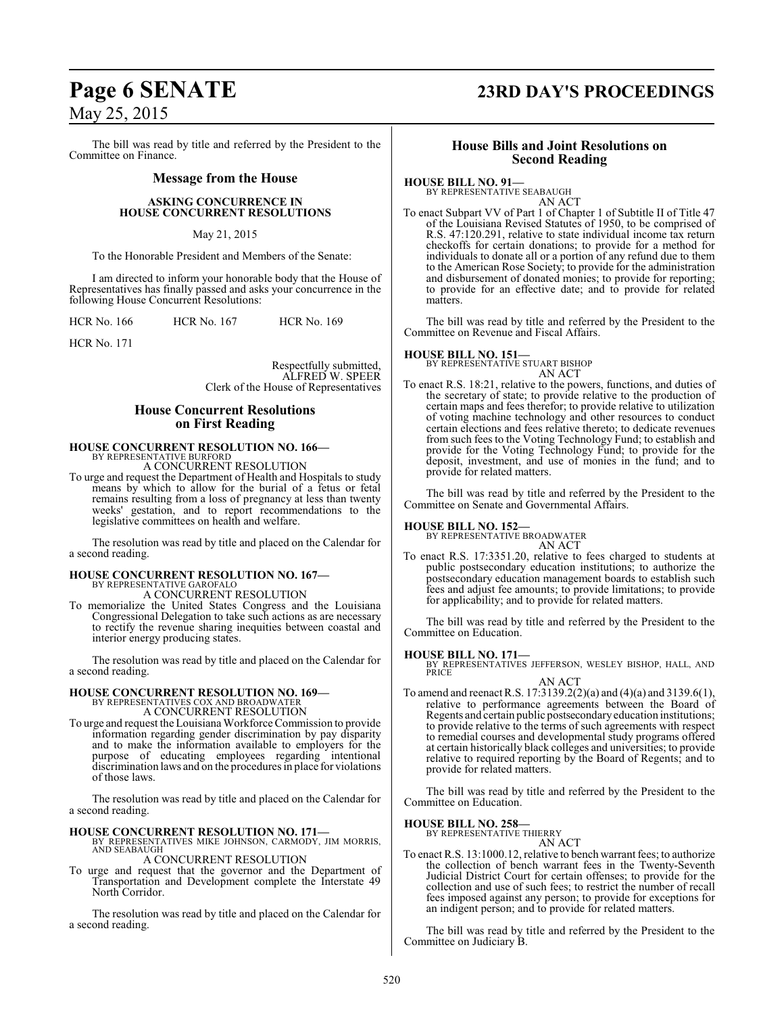The bill was read by title and referred by the President to the Committee on Finance.

#### **Message from the House**

#### **ASKING CONCURRENCE IN HOUSE CONCURRENT RESOLUTIONS**

#### May 21, 2015

To the Honorable President and Members of the Senate:

I am directed to inform your honorable body that the House of Representatives has finally passed and asks your concurrence in the following House Concurrent Resolutions:

HCR No. 166 HCR No. 167 HCR No. 169

HCR No. 171

Respectfully submitted, ALFRED W. SPEER Clerk of the House of Representatives

#### **House Concurrent Resolutions on First Reading**

## **HOUSE CONCURRENT RESOLUTION NO. 166—** BY REPRESENTATIVE BURFORD

A CONCURRENT RESOLUTION

To urge and request the Department of Health and Hospitals to study means by which to allow for the burial of a fetus or fetal remains resulting from a loss of pregnancy at less than twenty weeks' gestation, and to report recommendations to the legislative committees on health and welfare.

The resolution was read by title and placed on the Calendar for a second reading.

### **HOUSE CONCURRENT RESOLUTION NO. 167—** BY REPRESENTATIVE GAROFALO A CONCURRENT RESOLUTION

To memorialize the United States Congress and the Louisiana Congressional Delegation to take such actions as are necessary to rectify the revenue sharing inequities between coastal and interior energy producing states.

The resolution was read by title and placed on the Calendar for a second reading.

## **HOUSE CONCURRENT RESOLUTION NO. 169—** BY REPRESENTATIVES COX AND BROADWATER A CONCURRENT RESOLUTION

To urge and request the Louisiana Workforce Commission to provide information regarding gender discrimination by pay disparity and to make the information available to employers for the purpose of educating employees regarding intentional discrimination laws and on the procedures in place for violations of those laws.

The resolution was read by title and placed on the Calendar for a second reading.

#### **HOUSE CONCURRENT RESOLUTION NO. 171—**

BY REPRESENTATIVES MIKE JOHNSON, CARMODY, JIM MORRIS, AND SEABAUGH A CONCURRENT RESOLUTION

To urge and request that the governor and the Department of Transportation and Development complete the Interstate 49

North Corridor.

The resolution was read by title and placed on the Calendar for a second reading.

## **Page 6 SENATE 23RD DAY'S PROCEEDINGS**

#### **House Bills and Joint Resolutions on Second Reading**

#### **HOUSE BILL NO. 91—**

BY REPRESENTATIVE SEABAUGH AN ACT

To enact Subpart VV of Part 1 of Chapter 1 of Subtitle II of Title 47 of the Louisiana Revised Statutes of 1950, to be comprised of R.S. 47:120.291, relative to state individual income tax return checkoffs for certain donations; to provide for a method for individuals to donate all or a portion of any refund due to them to the American Rose Society; to provide for the administration and disbursement of donated monies; to provide for reporting; to provide for an effective date; and to provide for related matters.

The bill was read by title and referred by the President to the Committee on Revenue and Fiscal Affairs.

#### **HOUSE BILL NO. 151—**

BY REPRESENTATIVE STUART BISHOP AN ACT

To enact R.S. 18:21, relative to the powers, functions, and duties of the secretary of state; to provide relative to the production of certain maps and fees therefor; to provide relative to utilization of voting machine technology and other resources to conduct certain elections and fees relative thereto; to dedicate revenues from such fees to the Voting Technology Fund; to establish and provide for the Voting Technology Fund; to provide for the deposit, investment, and use of monies in the fund; and to provide for related matters.

The bill was read by title and referred by the President to the Committee on Senate and Governmental Affairs.

**HOUSE BILL NO. 152—** BY REPRESENTATIVE BROADWATER AN ACT

To enact R.S. 17:3351.20, relative to fees charged to students at public postsecondary education institutions; to authorize the postsecondary education management boards to establish such fees and adjust fee amounts; to provide limitations; to provide for applicability; and to provide for related matters.

The bill was read by title and referred by the President to the Committee on Education.

**HOUSE BILL NO. 171—** BY REPRESENTATIVES JEFFERSON, WESLEY BISHOP, HALL, AND PRICE

- AN ACT
- To amend and reenact R.S. 17:3139.2(2)(a) and (4)(a) and 3139.6(1), relative to performance agreements between the Board of Regents and certain public postsecondaryeducation institutions; to provide relative to the terms of such agreements with respect to remedial courses and developmental study programs offered at certain historically black colleges and universities; to provide relative to required reporting by the Board of Regents; and to provide for related matters.

The bill was read by title and referred by the President to the Committee on Education.

## **HOUSE BILL NO. 258—** BY REPRESENTATIVE THIERRY

AN ACT

To enact R.S. 13:1000.12, relative to bench warrant fees; to authorize the collection of bench warrant fees in the Twenty-Seventh Judicial District Court for certain offenses; to provide for the collection and use of such fees; to restrict the number of recall fees imposed against any person; to provide for exceptions for an indigent person; and to provide for related matters.

The bill was read by title and referred by the President to the Committee on Judiciary B.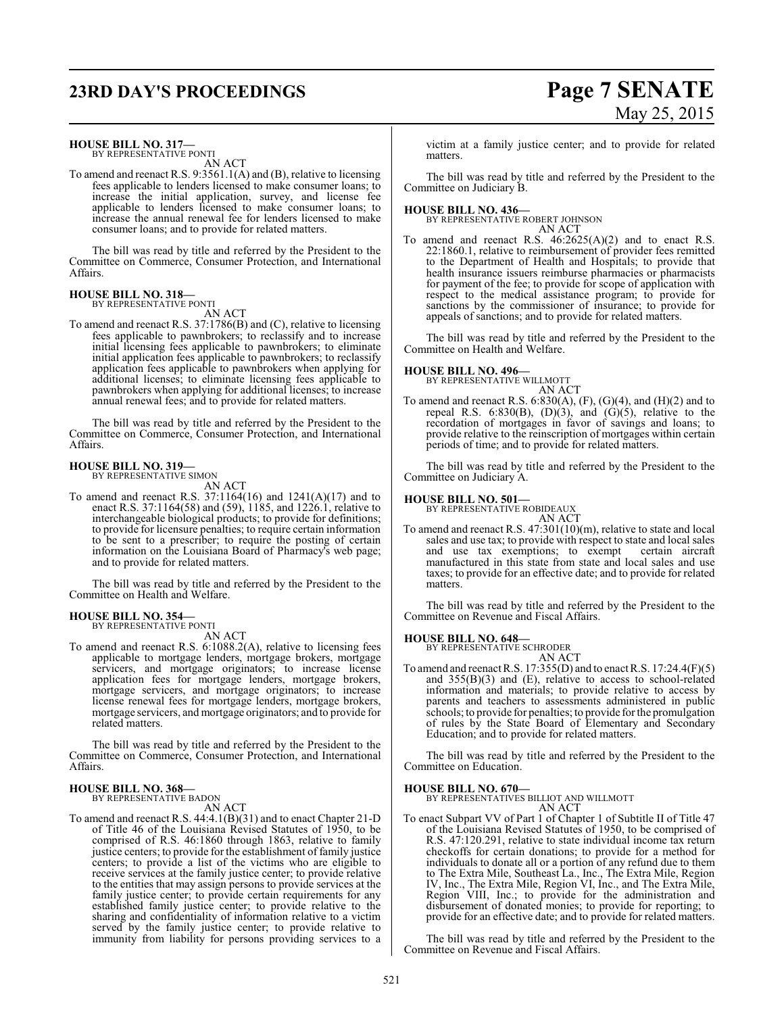## **23RD DAY'S PROCEEDINGS Page 7 SENATE**

# May 25, 2015

**HOUSE BILL NO. 317—**

BY REPRESENTATIVE PONTI AN ACT

To amend and reenact R.S. 9:3561.1(A) and (B), relative to licensing fees applicable to lenders licensed to make consumer loans; to increase the initial application, survey, and license fee applicable to lenders licensed to make consumer loans; to increase the annual renewal fee for lenders licensed to make consumer loans; and to provide for related matters.

The bill was read by title and referred by the President to the Committee on Commerce, Consumer Protection, and International Affairs.

#### **HOUSE BILL NO. 318—** BY REPRESENTATIVE PONTI

AN ACT

To amend and reenact R.S. 37:1786(B) and (C), relative to licensing fees applicable to pawnbrokers; to reclassify and to increase initial licensing fees applicable to pawnbrokers; to eliminate initial application fees applicable to pawnbrokers; to reclassify application fees applicable to pawnbrokers when applying for additional licenses; to eliminate licensing fees applicable to pawnbrokers when applying for additional licenses; to increase annual renewal fees; and to provide for related matters.

The bill was read by title and referred by the President to the Committee on Commerce, Consumer Protection, and International Affairs.

#### **HOUSE BILL NO. 319—** BY REPRESENTATIVE SIMON

AN ACT

To amend and reenact R.S. 37:1164(16) and 1241(A)(17) and to enact R.S. 37:1164(58) and (59), 1185, and 1226.1, relative to interchangeable biological products; to provide for definitions; to provide for licensure penalties; to require certain information to be sent to a prescriber; to require the posting of certain information on the Louisiana Board of Pharmacy's web page; and to provide for related matters.

The bill was read by title and referred by the President to the Committee on Health and Welfare.

## **HOUSE BILL NO. 354—** BY REPRESENTATIVE PONTI

AN ACT

To amend and reenact R.S. 6:1088.2(A), relative to licensing fees applicable to mortgage lenders, mortgage brokers, mortgage servicers, and mortgage originators; to increase license application fees for mortgage lenders, mortgage brokers, mortgage servicers, and mortgage originators; to increase license renewal fees for mortgage lenders, mortgage brokers, mortgage servicers, and mortgage originators; and to provide for related matters.

The bill was read by title and referred by the President to the Committee on Commerce, Consumer Protection, and International Affairs.

#### **HOUSE BILL NO. 368—** BY REPRESENTATIVE BADON

- AN ACT
- To amend and reenact R.S. 44:4.1(B)(31) and to enact Chapter 21-D of Title 46 of the Louisiana Revised Statutes of 1950, to be comprised of R.S. 46:1860 through 1863, relative to family justice centers; to provide for the establishment of family justice centers; to provide a list of the victims who are eligible to receive services at the family justice center; to provide relative to the entities that may assign persons to provide services at the family justice center; to provide certain requirements for any established family justice center; to provide relative to the sharing and confidentiality of information relative to a victim served by the family justice center; to provide relative to immunity from liability for persons providing services to a

victim at a family justice center; and to provide for related matters.

The bill was read by title and referred by the President to the Committee on Judiciary B.

**HOUSE BILL NO. 436—** BY REPRESENTATIVE ROBERT JOHNSON

- AN ACT
- To amend and reenact R.S. 46:2625(A)(2) and to enact R.S. 22:1860.1, relative to reimbursement of provider fees remitted to the Department of Health and Hospitals; to provide that health insurance issuers reimburse pharmacies or pharmacists for payment of the fee; to provide for scope of application with respect to the medical assistance program; to provide for sanctions by the commissioner of insurance; to provide for appeals of sanctions; and to provide for related matters.

The bill was read by title and referred by the President to the Committee on Health and Welfare.

## **HOUSE BILL NO. 496—** BY REPRESENTATIVE WILLMOTT

AN ACT

To amend and reenact R.S.  $6:830(A), (F), (G)(4),$  and  $(H)(2)$  and to repeal R.S.  $6:830(B)$ ,  $(D)(3)$ , and  $(G)(5)$ , relative to the recordation of mortgages in favor of savings and loans; to provide relative to the reinscription of mortgages within certain periods of time; and to provide for related matters.

The bill was read by title and referred by the President to the Committee on Judiciary A.

## **HOUSE BILL NO. 501—** BY REPRESENTATIVE ROBIDEAUX

AN ACT To amend and reenact R.S. 47:301(10)(m), relative to state and local sales and use tax; to provide with respect to state and local sales<br>and use tax exemptions: to exempt certain aircraft and use tax exemptions; to exempt manufactured in this state from state and local sales and use taxes; to provide for an effective date; and to provide for related matters.

The bill was read by title and referred by the President to the Committee on Revenue and Fiscal Affairs.

**HOUSE BILL NO. 648—**

BY REPRESENTATIVE SCHRODER

AN ACT To amend and reenact R.S. 17:355(D) and to enact R.S. 17:24.4(F)(5) and 355(B)(3) and (E), relative to access to school-related information and materials; to provide relative to access by parents and teachers to assessments administered in public schools; to provide for penalties; to provide for the promulgation of rules by the State Board of Elementary and Secondary Education; and to provide for related matters.

The bill was read by title and referred by the President to the Committee on Education.

#### **HOUSE BILL NO. 670—**

BY REPRESENTATIVES BILLIOT AND WILLMOTT

AN ACT To enact Subpart VV of Part 1 of Chapter 1 of Subtitle II of Title 47 of the Louisiana Revised Statutes of 1950, to be comprised of R.S. 47:120.291, relative to state individual income tax return checkoffs for certain donations; to provide for a method for individuals to donate all or a portion of any refund due to them to The Extra Mile, Southeast La., Inc., The Extra Mile, Region IV, Inc., The Extra Mile, Region VI, Inc., and The Extra Mile, Region VIII, Inc.; to provide for the administration and disbursement of donated monies; to provide for reporting; to provide for an effective date; and to provide for related matters.

The bill was read by title and referred by the President to the Committee on Revenue and Fiscal Affairs.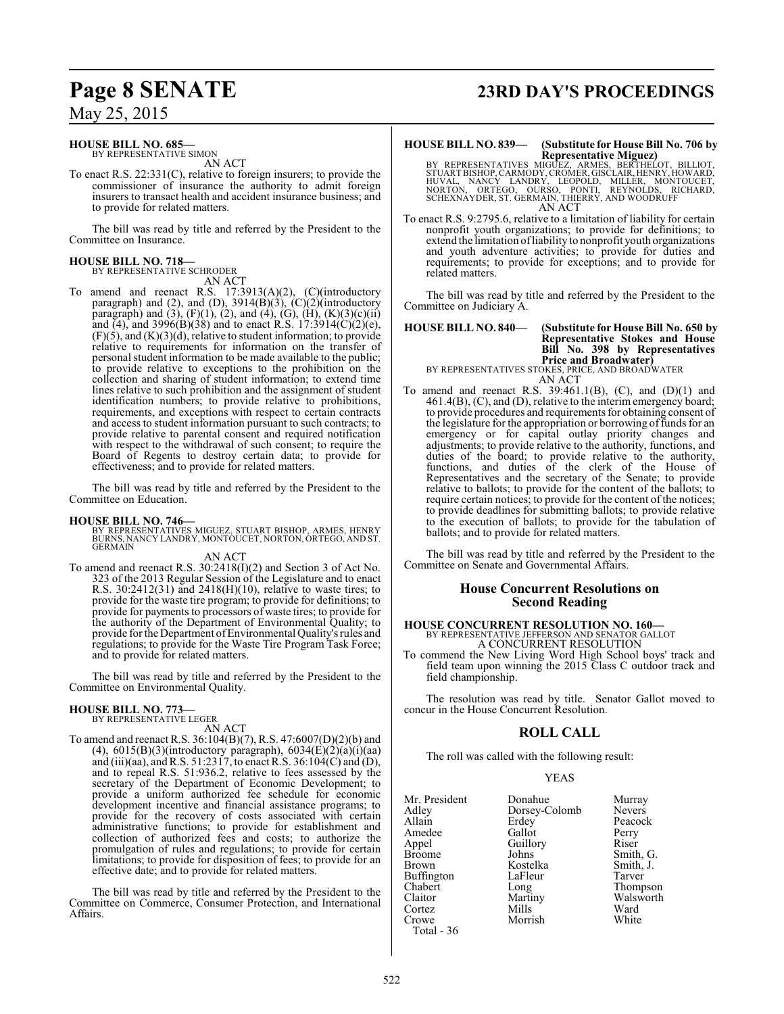## **Page 8 SENATE 23RD DAY'S PROCEEDINGS**

May 25, 2015

#### **HOUSE BILL NO. 685—**

BY REPRESENTATIVE SIMON AN ACT

To enact R.S. 22:331(C), relative to foreign insurers; to provide the commissioner of insurance the authority to admit foreign insurers to transact health and accident insurance business; and to provide for related matters.

The bill was read by title and referred by the President to the Committee on Insurance.

#### **HOUSE BILL NO. 718—**

BY REPRESENTATIVE SCHRODER AN ACT

To amend and reenact R.S. 17:3913(A)(2), (C)(introductory paragraph) and (2), and (D),  $3914(B)(3)$ ,  $(C)(2)$ (introductory paragraph) and (3),  $(F)(1)$ , (2), and (4), (G),  $(H)$ ,  $(K)(3)(c)(ii)$ and (4), and 3996(B)(38) and to enact R.S.  $17:3914(C)(2)(e)$ ,  $(F)(5)$ , and  $(K)(3)(d)$ , relative to student information; to provide relative to requirements for information on the transfer of personal student information to be made available to the public; to provide relative to exceptions to the prohibition on the collection and sharing of student information; to extend time lines relative to such prohibition and the assignment of student identification numbers; to provide relative to prohibitions, requirements, and exceptions with respect to certain contracts and access to student information pursuant to such contracts; to provide relative to parental consent and required notification with respect to the withdrawal of such consent; to require the Board of Regents to destroy certain data; to provide for effectiveness; and to provide for related matters.

The bill was read by title and referred by the President to the Committee on Education.

**HOUSE BILL NO. 746—** BY REPRESENTATIVES MIGUEZ, STUART BISHOP, ARMES, HENRY BURNS, NANCY LANDRY, MONTOUCET, NORTON, ORTEGO, AND ST. **GERMAIN** 

AN ACT

To amend and reenact R.S. 30:2418(I)(2) and Section 3 of Act No. 323 of the 2013 Regular Session of the Legislature and to enact R.S. 30:2412(31) and 2418(H)(10), relative to waste tires; to provide for the waste tire program; to provide for definitions; to provide for payments to processors of waste tires; to provide for the authority of the Department of Environmental Quality; to provide forthe Department ofEnvironmental Quality's rules and regulations; to provide for the Waste Tire Program Task Force; and to provide for related matters.

The bill was read by title and referred by the President to the Committee on Environmental Quality.

#### **HOUSE BILL NO. 773—** BY REPRESENTATIVE LEGER

AN ACT

To amend and reenact R.S. 36:104(B)(7), R.S. 47:6007(D)(2)(b) and (4),  $6015(B)(3)$ (introductory paragraph),  $6034(E)(2)(a)(i)(aa)$ and (iii)(aa), andR.S. 51:2317, to enact R.S. 36:104(C) and (D), and to repeal R.S. 51:936.2, relative to fees assessed by the secretary of the Department of Economic Development; to provide a uniform authorized fee schedule for economic development incentive and financial assistance programs; to provide for the recovery of costs associated with certain administrative functions; to provide for establishment and collection of authorized fees and costs; to authorize the promulgation of rules and regulations; to provide for certain limitations; to provide for disposition of fees; to provide for an effective date; and to provide for related matters.

The bill was read by title and referred by the President to the Committee on Commerce, Consumer Protection, and International Affairs.

#### **HOUSE BILL NO. 839— (Substitute for House Bill No. 706 by Representative Miguez)**

BY REPRESENTATIVES MIGUEZ, ARMES, BERTHELOT, BILLIOT,<br>STUARTBISHOP, CARMODY, CROMER, GISCLAIR, HENRY, HOWARD,<br>HUVAL, NANCY LANDRY, LEOPOLD, MILLER, MONTOUCET,<br>NORTON, ORTEGO, OURSO, PONTI, REYNOLDS, RICHARD,<br>SCHEXNAYDER, S

To enact R.S. 9:2795.6, relative to a limitation of liability for certain nonprofit youth organizations; to provide for definitions; to extend the limitation ofliability to nonprofit youth organizations and youth adventure activities; to provide for duties and requirements; to provide for exceptions; and to provide for related matters.

The bill was read by title and referred by the President to the Committee on Judiciary A.

| <b>HOUSE BILL NO. 840—</b> | (Substitute for House Bill No. 650 by<br>Representative Stokes and House<br>Bill No. 398 by Representatives |
|----------------------------|-------------------------------------------------------------------------------------------------------------|
|                            | <b>Price and Broadwater)</b><br>BY REPRESENTATIVES STOKES, PRICE, AND BROADWATER                            |

AN ACT

To amend and reenact R.S. 39:461.1(B), (C), and (D)(1) and 461.4(B), (C), and (D), relative to the interim emergency board; to provide procedures and requirements for obtaining consent of the legislature for the appropriation or borrowing of funds for an emergency or for capital outlay priority changes and adjustments; to provide relative to the authority, functions, and duties of the board; to provide relative to the authority, functions, and duties of the clerk of the House of Representatives and the secretary of the Senate; to provide relative to ballots; to provide for the content of the ballots; to require certain notices; to provide for the content of the notices; to provide deadlines for submitting ballots; to provide relative to the execution of ballots; to provide for the tabulation of ballots; and to provide for related matters.

The bill was read by title and referred by the President to the Committee on Senate and Governmental Affairs.

#### **House Concurrent Resolutions on Second Reading**

#### **HOUSE CONCURRENT RESOLUTION NO. 160—** BY REPRESENTATIVE JEFFERSON AND SENATOR GALLOT A CONCURRENT RESOLUTION

To commend the New Living Word High School boys' track and field team upon winning the 2015 Class C outdoor track and field championship.

The resolution was read by title. Senator Gallot moved to concur in the House Concurrent Resolution.

#### **ROLL CALL**

The roll was called with the following result:

#### YEAS

| Mr. President | Donahue       | Murray        |
|---------------|---------------|---------------|
| Adley         | Dorsey-Colomb | <b>Nevers</b> |
| Allain        | Erdey         | Peacock       |
| Amedee        | Gallot        | Perry         |
| Appel         | Guillory      | Riser         |
| Broome        | Johns         | Smith, G.     |
| Brown         | Kostelka      | Smith, J.     |
| Buffington    | LaFleur       | Tarver        |
| Chabert       | Long          | Thompson      |
| Claitor       | Martiny       | Walsworth     |
| Cortez        | Mills         | Ward          |
| Crowe         | Morrish       | White         |
| Total - 36    |               |               |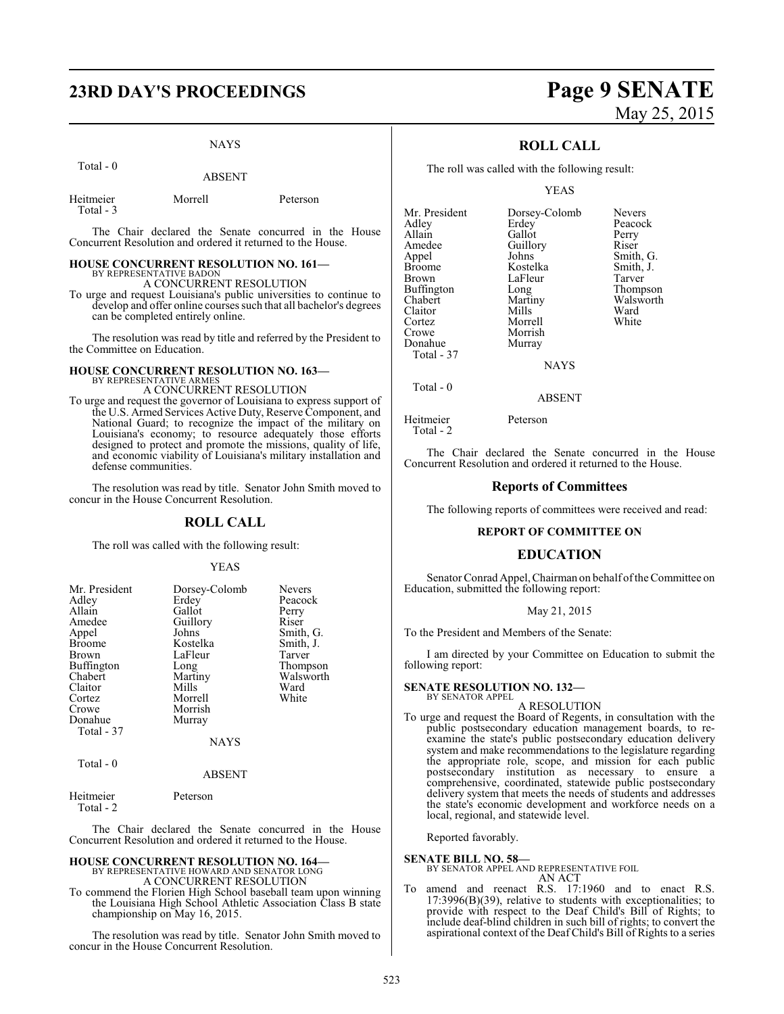# **23RD DAY'S PROCEEDINGS Page 9 SENATE**

#### NAYS

ABSENT

| ------ | . . |
|--------|-----|
|        |     |
|        |     |
|        |     |
|        |     |
|        |     |
|        |     |
|        |     |
|        |     |
|        |     |
|        |     |
|        |     |
|        |     |

Total - 0

Total - 3

| Heitmeier | Morrell | Peterson |
|-----------|---------|----------|
|           |         |          |

The Chair declared the Senate concurred in the House Concurrent Resolution and ordered it returned to the House.

#### **HOUSE CONCURRENT RESOLUTION NO. 161—** BY REPRESENTATIVE BADON

A CONCURRENT RESOLUTION

To urge and request Louisiana's public universities to continue to develop and offer online courses such that all bachelor's degrees can be completed entirely online.

The resolution was read by title and referred by the President to the Committee on Education.

## **HOUSE CONCURRENT RESOLUTION NO. 163—** BY REPRESENTATIVE ARMES A CONCURRENT RESOLUTION

To urge and request the governor of Louisiana to express support of the U.S. Armed Services Active Duty, Reserve Component, and National Guard; to recognize the impact of the military on Louisiana's economy; to resource adequately those efforts designed to protect and promote the missions, quality of life, and economic viability of Louisiana's military installation and defense communities.

The resolution was read by title. Senator John Smith moved to concur in the House Concurrent Resolution.

#### **ROLL CALL**

The roll was called with the following result:

#### YEAS

| Mr. President     | Dorsey-Colomb | <b>Nevers</b> |
|-------------------|---------------|---------------|
| Adley             | Erdey         | Peacock       |
| Allain            | Gallot        | Perry         |
| Amedee            | Guillory      | Riser         |
| Appel             | Johns         | Smith, G.     |
| <b>Broome</b>     | Kostelka      | Smith, J.     |
| Brown             | LaFleur       | Tarver        |
| <b>Buffington</b> | Long          | Thompson      |
| Chabert           | Martiny       | Walsworth     |
| Claitor           | Mills         | Ward          |
| Cortez            | Morrell       | White         |
| Crowe             | Morrish       |               |
| Donahue           | Murray        |               |
| Total - 37        |               |               |
|                   | <b>NAYS</b>   |               |
| Total - 0         |               |               |

#### ABSENT

Heitmeier Peterson Total - 2

The Chair declared the Senate concurred in the House Concurrent Resolution and ordered it returned to the House.

#### **HOUSE CONCURRENT RESOLUTION NO. 164—** BY REPRESENTATIVE HOWARD AND SENATOR LONG A CONCURRENT RESOLUTION

To commend the Florien High School baseball team upon winning the Louisiana High School Athletic Association Class B state championship on May 16, 2015.

The resolution was read by title. Senator John Smith moved to concur in the House Concurrent Resolution.

#### **ROLL CALL**

The roll was called with the following result:

YEAS

| Dorsey-Colomb | <b>Nevers</b>   |
|---------------|-----------------|
|               | Peacock         |
| Gallot        | Perry           |
| Guillory      | Riser           |
| Johns         | Smith, G.       |
| Kostelka      | Smith, J.       |
| LaFleur       | Tarver          |
| Long          | Thompson        |
| Martiny       | Walsworth       |
| Mills         | Ward            |
| Morrell       | White           |
| Morrish       |                 |
|               |                 |
|               |                 |
| <b>NAYS</b>   |                 |
|               | Erdey<br>Murray |

Total - 0

Heitmeier Peterson Total - 2

The Chair declared the Senate concurred in the House Concurrent Resolution and ordered it returned to the House.

ABSENT

#### **Reports of Committees**

The following reports of committees were received and read:

#### **REPORT OF COMMITTEE ON**

#### **EDUCATION**

Senator Conrad Appel, Chairman on behalf of the Committee on Education, submitted the following report:

#### May 21, 2015

To the President and Members of the Senate:

I am directed by your Committee on Education to submit the following report:

#### **SENATE RESOLUTION NO. 132—** BY SENATOR APPEL

A RESOLUTION

To urge and request the Board of Regents, in consultation with the public postsecondary education management boards, to reexamine the state's public postsecondary education delivery system and make recommendations to the legislature regarding the appropriate role, scope, and mission for each public postsecondary institution as necessary to ensure a comprehensive, coordinated, statewide public postsecondary delivery system that meets the needs of students and addresses the state's economic development and workforce needs on a local, regional, and statewide level.

Reported favorably.

**SENATE BILL NO. 58—** BY SENATOR APPEL AND REPRESENTATIVE FOIL AN ACT

amend and reenact R.S. 17:1960 and to enact R.S. 17:3996(B)(39), relative to students with exceptionalities; to provide with respect to the Deaf Child's Bill of Rights; to include deaf-blind children in such bill of rights; to convert the aspirational context of the Deaf Child's Bill of Rights to a series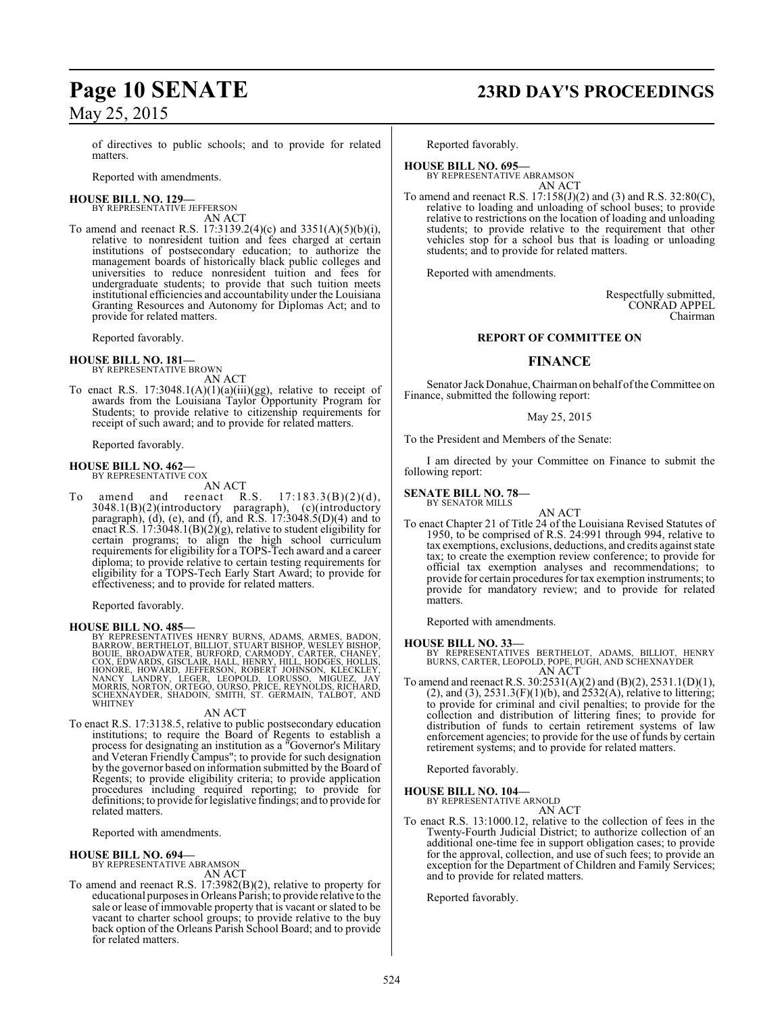of directives to public schools; and to provide for related matters.

Reported with amendments.

#### **HOUSE BILL NO. 129—**

BY REPRESENTATIVE JEFFERSON AN ACT

To amend and reenact R.S. 17:3139.2(4)(c) and 3351(A)(5)(b)(i), relative to nonresident tuition and fees charged at certain institutions of postsecondary education; to authorize the management boards of historically black public colleges and universities to reduce nonresident tuition and fees for undergraduate students; to provide that such tuition meets institutional efficiencies and accountability under the Louisiana Granting Resources and Autonomy for Diplomas Act; and to provide for related matters.

Reported favorably.

## **HOUSE BILL NO. 181—** BY REPRESENTATIVE BROWN

AN ACT

To enact R.S.  $17:3048.1(A)(1)(a)(iii)(gg)$ , relative to receipt of awards from the Louisiana Taylor Opportunity Program for Students; to provide relative to citizenship requirements for receipt of such award; and to provide for related matters.

Reported favorably.

#### **HOUSE BILL NO. 462—** BY REPRESENTATIVE COX

AN ACT<br>reenact R.S. To amend and reenact R.S.  $17:183.3(B)(2)(d)$ , 3048.1(B)(2)(introductory paragraph), (c)(introductory paragraph), (d), (e), and (f), and R.S. 17:3048.5(D)(4) and to enact R.S.  $17:3048.1(B)(2)(g)$ , relative to student eligibility for certain programs; to align the high school curriculum requirements for eligibility for a TOPS-Tech award and a career diploma; to provide relative to certain testing requirements for eligibility for a TOPS-Tech Early Start Award; to provide for effectiveness; and to provide for related matters.

Reported favorably.

#### **HOUSE BILL NO. 485—**

BY REPRESENTATIVES HENRY BURNS, ADAMS, ARMES, BADON,<br>BARROW, BERTHELOT, BILLIOT, STUART BISHOP, WESLEY BISHOP,<br>BOUIE, BROADWATER, BURFORD, CARMODY, CARTER, CHANEY,<br>COX, EDWARDS, GISCLAIR, HALL, HENRY, HILL, HODGES, HOLLIS, SCHEXNAYDER, SHADOIN, SMITH, ST. GERMAIN, TALBOT, AND WHITNEY

#### AN ACT

To enact R.S. 17:3138.5, relative to public postsecondary education institutions; to require the Board of Regents to establish a process for designating an institution as a "Governor's Military and Veteran Friendly Campus"; to provide for such designation by the governor based on information submitted by the Board of Regents; to provide eligibility criteria; to provide application procedures including required reporting; to provide for definitions; to provide for legislative findings; and to provide for related matters.

Reported with amendments.

#### **HOUSE BILL NO. 694—**

BY REPRESENTATIVE ABRAMSON AN ACT

To amend and reenact R.S. 17:3982(B)(2), relative to property for educational purposes in Orleans Parish; to provide relative to the sale or lease of immovable property that is vacant or slated to be vacant to charter school groups; to provide relative to the buy back option of the Orleans Parish School Board; and to provide for related matters.

## **Page 10 SENATE 23RD DAY'S PROCEEDINGS**

Reported favorably.

**HOUSE BILL NO. 695—** BY REPRESENTATIVE ABRAMSON AN ACT

To amend and reenact R.S. 17:158(J)(2) and (3) and R.S. 32:80(C), relative to loading and unloading of school buses; to provide relative to restrictions on the location of loading and unloading students; to provide relative to the requirement that other vehicles stop for a school bus that is loading or unloading students; and to provide for related matters.

Reported with amendments.

Respectfully submitted, CONRAD APPEL Chairman

#### **REPORT OF COMMITTEE ON**

#### **FINANCE**

Senator Jack Donahue, Chairman on behalf of the Committee on Finance, submitted the following report:

May 25, 2015

To the President and Members of the Senate:

I am directed by your Committee on Finance to submit the following report:

**SENATE BILL NO. 78—** BY SENATOR MILLS

- AN ACT
- To enact Chapter 21 of Title 24 of the Louisiana Revised Statutes of 1950, to be comprised of R.S. 24:991 through 994, relative to tax exemptions, exclusions, deductions, and credits against state tax; to create the exemption review conference; to provide for official tax exemption analyses and recommendations; to provide for certain procedures for tax exemption instruments; to provide for mandatory review; and to provide for related matters.

Reported with amendments.

#### **HOUSE BILL NO. 33—**

BY REPRESENTATIVES BERTHELOT, ADAMS, BILLIOT, HENRY BURNS, CARTER, LEOPOLD, POPE, PUGH, AND SCHEXNAYDER AN ACT

To amend and reenact R.S. 30:2531(A)(2) and (B)(2), 2531.1(D)(1), (2), and (3), 2531.3(F)(1)(b), and  $2532(A)$ , relative to littering; to provide for criminal and civil penalties; to provide for the collection and distribution of littering fines; to provide for distribution of funds to certain retirement systems of law enforcement agencies; to provide for the use of funds by certain retirement systems; and to provide for related matters.

Reported favorably.

**HOUSE BILL NO. 104—** BY REPRESENTATIVE ARNOLD

AN ACT

To enact R.S. 13:1000.12, relative to the collection of fees in the Twenty-Fourth Judicial District; to authorize collection of an additional one-time fee in support obligation cases; to provide for the approval, collection, and use of such fees; to provide an exception for the Department of Children and Family Services; and to provide for related matters.

Reported favorably.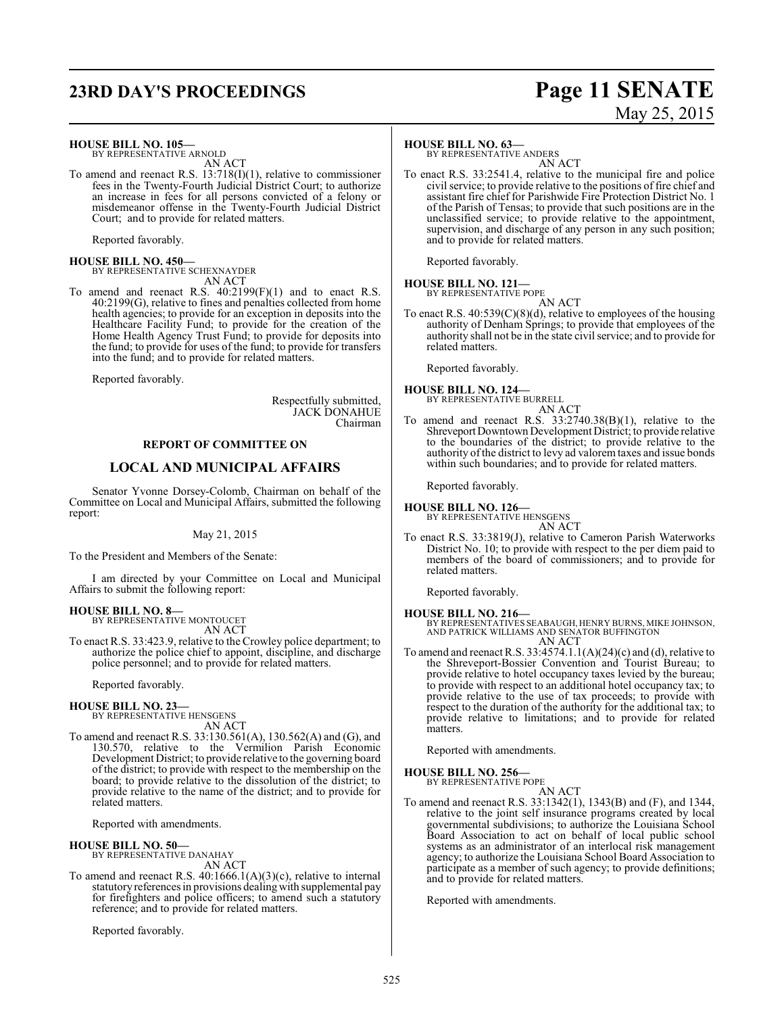## **23RD DAY'S PROCEEDINGS Page 11 SENATE**

# May 25, 2015

#### **HOUSE BILL NO. 105—**

BY REPRESENTATIVE ARNOLD AN ACT

To amend and reenact R.S. 13:718(I)(1), relative to commissioner fees in the Twenty-Fourth Judicial District Court; to authorize an increase in fees for all persons convicted of a felony or misdemeanor offense in the Twenty-Fourth Judicial District Court; and to provide for related matters.

Reported favorably.

**HOUSE BILL NO. 450—** BY REPRESENTATIVE SCHEXNAYDER AN ACT

To amend and reenact R.S.  $40:2199(F)(1)$  and to enact R.S. 40:2199(G), relative to fines and penalties collected from home health agencies; to provide for an exception in deposits into the Healthcare Facility Fund; to provide for the creation of the Home Health Agency Trust Fund; to provide for deposits into the fund; to provide for uses of the fund; to provide for transfers into the fund; and to provide for related matters.

Reported favorably.

Respectfully submitted, JACK DONAHUE Chairman

#### **REPORT OF COMMITTEE ON**

#### **LOCAL AND MUNICIPAL AFFAIRS**

Senator Yvonne Dorsey-Colomb, Chairman on behalf of the Committee on Local and Municipal Affairs, submitted the following report:

#### May 21, 2015

To the President and Members of the Senate:

I am directed by your Committee on Local and Municipal Affairs to submit the following report:

**HOUSE BILL NO. 8—** BY REPRESENTATIVE MONTOUCET

AN ACT

To enact R.S. 33:423.9, relative to the Crowley police department; to authorize the police chief to appoint, discipline, and discharge police personnel; and to provide for related matters.

Reported favorably.

#### **HOUSE BILL NO. 23—** BY REPRESENTATIVE HENSGENS

AN ACT

To amend and reenact R.S. 33:130.561(A), 130.562(A) and (G), and 130.570, relative to the Vermilion Parish Economic Development District; to provide relative to the governing board of the district; to provide with respect to the membership on the board; to provide relative to the dissolution of the district; to provide relative to the name of the district; and to provide for related matters.

Reported with amendments.

## **HOUSE BILL NO. 50—** BY REPRESENTATIVE DANAHAY

AN ACT

To amend and reenact R.S. 40:1666.1(A)(3)(c), relative to internal statutory references in provisions dealing with supplemental pay for firefighters and police officers; to amend such a statutory reference; and to provide for related matters.

Reported favorably.

#### **HOUSE BILL NO. 63—**

BY REPRESENTATIVE ANDERS AN ACT

To enact R.S. 33:2541.4, relative to the municipal fire and police civil service; to provide relative to the positions of fire chief and assistant fire chief for Parishwide Fire Protection District No. 1 of the Parish of Tensas; to provide that such positions are in the unclassified service; to provide relative to the appointment, supervision, and discharge of any person in any such position; and to provide for related matters.

Reported favorably.

## **HOUSE BILL NO. 121—** BY REPRESENTATIVE POPE

AN ACT

To enact R.S. 40:539(C)(8)(d), relative to employees of the housing authority of Denham Springs; to provide that employees of the authority shall not be in the state civil service; and to provide for related matters.

Reported favorably.

## **HOUSE BILL NO. 124—** BY REPRESENTATIVE BURRELL

AN ACT

To amend and reenact R.S. 33:2740.38(B)(1), relative to the Shreveport Downtown Development District; to provide relative to the boundaries of the district; to provide relative to the authority of the district to levy ad valorem taxes and issue bonds within such boundaries; and to provide for related matters.

Reported favorably.

**HOUSE BILL NO. 126—**

BY REPRESENTATIVE HENSGENS AN ACT

To enact R.S. 33:3819(J), relative to Cameron Parish Waterworks District No. 10; to provide with respect to the per diem paid to members of the board of commissioners; and to provide for related matters.

Reported favorably.

**HOUSE BILL NO. 216—** BY REPRESENTATIVES SEABAUGH, HENRY BURNS, MIKE JOHNSON, AND PATRICK WILLIAMS AND SENATOR BUFFINGTON AN ACT

To amend and reenact R.S. 33:4574.1.1(A)(24)(c) and (d), relative to the Shreveport-Bossier Convention and Tourist Bureau; to provide relative to hotel occupancy taxes levied by the bureau; to provide with respect to an additional hotel occupancy tax; to provide relative to the use of tax proceeds; to provide with respect to the duration of the authority for the additional tax; to provide relative to limitations; and to provide for related matters.

Reported with amendments.

## **HOUSE BILL NO. 256—** BY REPRESENTATIVE POPE

AN ACT

To amend and reenact R.S. 33:1342(1), 1343(B) and (F), and 1344, relative to the joint self insurance programs created by local governmental subdivisions; to authorize the Louisiana School Board Association to act on behalf of local public school systems as an administrator of an interlocal risk management agency; to authorize the Louisiana School Board Association to participate as a member of such agency; to provide definitions; and to provide for related matters.

Reported with amendments.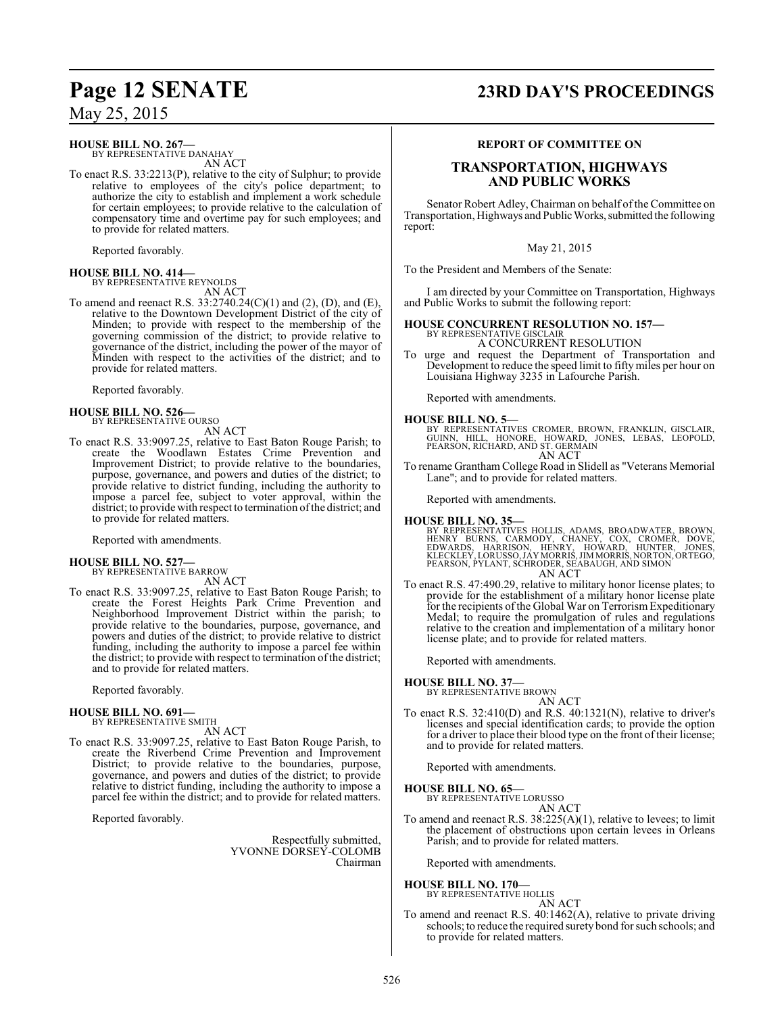**HOUSE BILL NO. 267—**

BY REPRESENTATIVE DANAHAY AN ACT

To enact R.S. 33:2213(P), relative to the city of Sulphur; to provide relative to employees of the city's police department; to authorize the city to establish and implement a work schedule for certain employees; to provide relative to the calculation of compensatory time and overtime pay for such employees; and to provide for related matters.

Reported favorably.

**HOUSE BILL NO. 414—** BY REPRESENTATIVE REYNOLDS

AN ACT

To amend and reenact R.S. 33:2740.24(C)(1) and (2), (D), and (E), relative to the Downtown Development District of the city of Minden; to provide with respect to the membership of the governing commission of the district; to provide relative to governance of the district, including the power of the mayor of Minden with respect to the activities of the district; and to provide for related matters.

Reported favorably.

**HOUSE BILL NO. 526—** BY REPRESENTATIVE OURSO

- AN ACT
- To enact R.S. 33:9097.25, relative to East Baton Rouge Parish; to create the Woodlawn Estates Crime Prevention and Improvement District; to provide relative to the boundaries, purpose, governance, and powers and duties of the district; to provide relative to district funding, including the authority to impose a parcel fee, subject to voter approval, within the district; to provide with respect to termination of the district; and to provide for related matters.

Reported with amendments.

#### **HOUSE BILL NO. 527—** BY REPRESENTATIVE BARROW

AN ACT

To enact R.S. 33:9097.25, relative to East Baton Rouge Parish; to create the Forest Heights Park Crime Prevention and Neighborhood Improvement District within the parish; to provide relative to the boundaries, purpose, governance, and powers and duties of the district; to provide relative to district funding, including the authority to impose a parcel fee within the district; to provide with respect to termination of the district; and to provide for related matters.

Reported favorably.

#### **HOUSE BILL NO. 691—**

BY REPRESENTATIVE SMITH AN ACT

To enact R.S. 33:9097.25, relative to East Baton Rouge Parish, to create the Riverbend Crime Prevention and Improvement District; to provide relative to the boundaries, purpose, governance, and powers and duties of the district; to provide relative to district funding, including the authority to impose a parcel fee within the district; and to provide for related matters.

Reported favorably.

Respectfully submitted, YVONNE DORSEY-COLOMB Chairman

## **Page 12 SENATE 23RD DAY'S PROCEEDINGS**

#### **REPORT OF COMMITTEE ON**

#### **TRANSPORTATION, HIGHWAYS AND PUBLIC WORKS**

Senator Robert Adley, Chairman on behalf of the Committee on Transportation, Highways and Public Works, submitted the following report:

May 21, 2015

To the President and Members of the Senate:

I am directed by your Committee on Transportation, Highways and Public Works to submit the following report:

#### **HOUSE CONCURRENT RESOLUTION NO. 157—** BY REPRESENTATIVE GISCLAIR

A CONCURRENT RESOLUTION

To urge and request the Department of Transportation and Development to reduce the speed limit to fifty miles per hour on Louisiana Highway 3235 in Lafourche Parish.

Reported with amendments.

#### **HOUSE BILL NO. 5—**

BY REPRESENTATIVES CROMER, BROWN, FRANKLIN, GISCLAIR,<br>GUINN, HILL, HONORE, HOWARD, JONES, LEBAS, LEOPOLD,<br>PEARSON,RICHARD,AND ST.GERMAIN AN ACT

To rename Grantham College Road in Slidell as "Veterans Memorial Lane"; and to provide for related matters.

Reported with amendments.

#### **HOUSE BILL NO. 35—**

BY REPRESENTATIVES HOLLIS, ADAMS, BROADWATER, BROWN,<br>HENRY BURNS, CARMODY, CHANEY, COX, CROMER, DOVE,<br>EDWARDS, HARRISON, HENRY, HOWARD, HUNTER, JONES,<br>KLECKLEY,LORUSSO,JAYMORRIS,JIMMORRIS,NORTON,ORTEGO,<br>PEARSON,PYLANT,SCHR AN ACT

To enact R.S. 47:490.29, relative to military honor license plates; to provide for the establishment of a military honor license plate for the recipients of the Global War on Terrorism Expeditionary Medal; to require the promulgation of rules and regulations relative to the creation and implementation of a military honor license plate; and to provide for related matters.

Reported with amendments.

**HOUSE BILL NO. 37—**

BY REPRESENTATIVE BROWN

AN ACT To enact R.S. 32:410(D) and R.S. 40:1321(N), relative to driver's licenses and special identification cards; to provide the option for a driver to place their blood type on the front of their license; and to provide for related matters.

Reported with amendments.

**HOUSE BILL NO. 65—**

BY REPRESENTATIVE LORUSSO

AN ACT To amend and reenact R.S. 38:225(A)(1), relative to levees; to limit the placement of obstructions upon certain levees in Orleans Parish; and to provide for related matters.

Reported with amendments.

## **HOUSE BILL NO. 170—** BY REPRESENTATIVE HOLLIS AN ACT

To amend and reenact R.S. 40:1462(A), relative to private driving schools; to reduce the required surety bond for such schools; and to provide for related matters.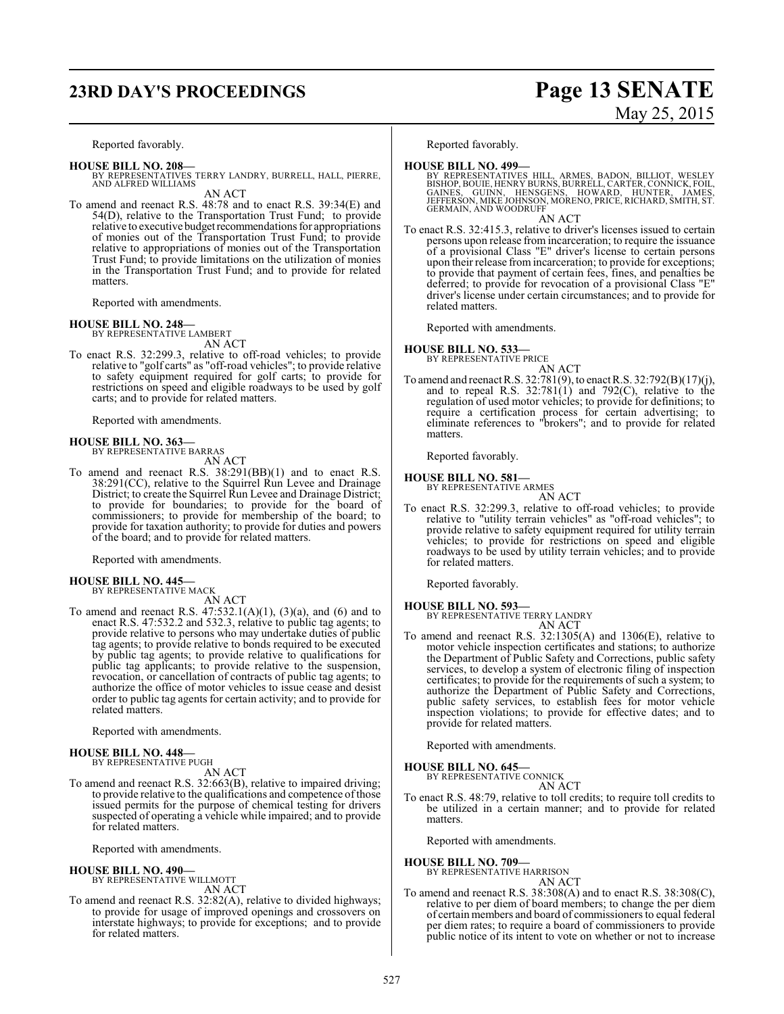## **23RD DAY'S PROCEEDINGS Page 13 SENATE**

#### Reported favorably.

- **HOUSE BILL NO. 208—** BY REPRESENTATIVES TERRY LANDRY, BURRELL, HALL, PIERRE, AND ALFRED WILLIAMS AN ACT
- To amend and reenact R.S. 48:78 and to enact R.S. 39:34(E) and 54(D), relative to the Transportation Trust Fund; to provide relative to executive budget recommendations for appropriations of monies out of the Transportation Trust Fund; to provide relative to appropriations of monies out of the Transportation Trust Fund; to provide limitations on the utilization of monies in the Transportation Trust Fund; and to provide for related matters.

Reported with amendments.

#### **HOUSE BILL NO. 248—**

BY REPRESENTATIVE LAMBERT AN ACT

To enact R.S. 32:299.3, relative to off-road vehicles; to provide relative to "golf carts" as "off-road vehicles"; to provide relative to safety equipment required for golf carts; to provide for restrictions on speed and eligible roadways to be used by golf carts; and to provide for related matters.

Reported with amendments.

#### **HOUSE BILL NO. 363—** BY REPRESENTATIVE BARRAS

AN ACT

To amend and reenact R.S. 38:291(BB)(1) and to enact R.S. 38:291(CC), relative to the Squirrel Run Levee and Drainage District; to create the Squirrel Run Levee and Drainage District; to provide for boundaries; to provide for the board of commissioners; to provide for membership of the board; to provide for taxation authority; to provide for duties and powers of the board; and to provide for related matters.

Reported with amendments.

#### **HOUSE BILL NO. 445—** BY REPRESENTATIVE MACK

AN ACT

To amend and reenact R.S.  $47:532.1(A)(1)$ ,  $(3)(a)$ , and  $(6)$  and to enact R.S. 47:532.2 and 532.3, relative to public tag agents; to provide relative to persons who may undertake duties of public tag agents; to provide relative to bonds required to be executed by public tag agents; to provide relative to qualifications for public tag applicants; to provide relative to the suspension, revocation, or cancellation of contracts of public tag agents; to authorize the office of motor vehicles to issue cease and desist order to public tag agents for certain activity; and to provide for related matters.

Reported with amendments.

#### **HOUSE BILL NO. 448—** BY REPRESENTATIVE PUGH

AN ACT

To amend and reenact R.S. 32:663(B), relative to impaired driving; to provide relative to the qualifications and competence of those issued permits for the purpose of chemical testing for drivers suspected of operating a vehicle while impaired; and to provide for related matters.

Reported with amendments.

#### **HOUSE BILL NO. 490—**

BY REPRESENTATIVE WILLMOTT AN ACT

To amend and reenact R.S. 32:82(A), relative to divided highways; to provide for usage of improved openings and crossovers on interstate highways; to provide for exceptions; and to provide for related matters.

# May 25, 2015

Reported favorably.

**HOUSE BILL NO. 499—**<br>BY REPRESENTATIVES HILL, ARMES, BADON, BILLIOT, WESLEY<br>BISHOP, BOUIE, HENRY BURNS, BURRELL, CARTER, CONNICK, FOIL,<br>GAINES, GUINN, HENSGENS, HOWARD, HUNTER, JAMES,<br>JEFFERSON, MIKE JOHNSON, MORENO, PRIC GERMAIN, AND WOODRUFF

AN ACT

To enact R.S. 32:415.3, relative to driver's licenses issued to certain persons upon release from incarceration; to require the issuance of a provisional Class "E" driver's license to certain persons upon their release fromincarceration; to provide for exceptions; to provide that payment of certain fees, fines, and penalties be deferred; to provide for revocation of a provisional Class "E" driver's license under certain circumstances; and to provide for related matters.

Reported with amendments.

## **HOUSE BILL NO. 533—** BY REPRESENTATIVE PRICE

AN ACT

To amend and reenact R.S. 32:781(9), to enact R.S. 32:792(B)(17)(j), and to repeal R.S. 32:781(1) and 792(C), relative to the regulation of used motor vehicles; to provide for definitions; to require a certification process for certain advertising; to eliminate references to "brokers"; and to provide for related matters.

Reported favorably.

## **HOUSE BILL NO. 581—** BY REPRESENTATIVE ARMES

AN ACT

To enact R.S. 32:299.3, relative to off-road vehicles; to provide relative to "utility terrain vehicles" as "off-road vehicles"; to provide relative to safety equipment required for utility terrain vehicles; to provide for restrictions on speed and eligible roadways to be used by utility terrain vehicles; and to provide for related matters.

Reported favorably.

**HOUSE BILL NO. 593—** BY REPRESENTATIVE TERRY LANDRY AN ACT

To amend and reenact R.S. 32:1305(A) and 1306(E), relative to motor vehicle inspection certificates and stations; to authorize the Department of Public Safety and Corrections, public safety services, to develop a system of electronic filing of inspection certificates; to provide for the requirements of such a system; to authorize the Department of Public Safety and Corrections, public safety services, to establish fees for motor vehicle inspection violations; to provide for effective dates; and to provide for related matters.

Reported with amendments.

**HOUSE BILL NO. 645—**

BY REPRESENTATIVE CONNICK AN ACT

To enact R.S. 48:79, relative to toll credits; to require toll credits to be utilized in a certain manner; and to provide for related matters.

Reported with amendments.

#### **HOUSE BILL NO. 709—**

BY REPRESENTATIVE HARRISON AN ACT

To amend and reenact R.S. 38:308(A) and to enact R.S. 38:308(C), relative to per diem of board members; to change the per diem of certain members and board of commissioners to equal federal per diem rates; to require a board of commissioners to provide public notice of its intent to vote on whether or not to increase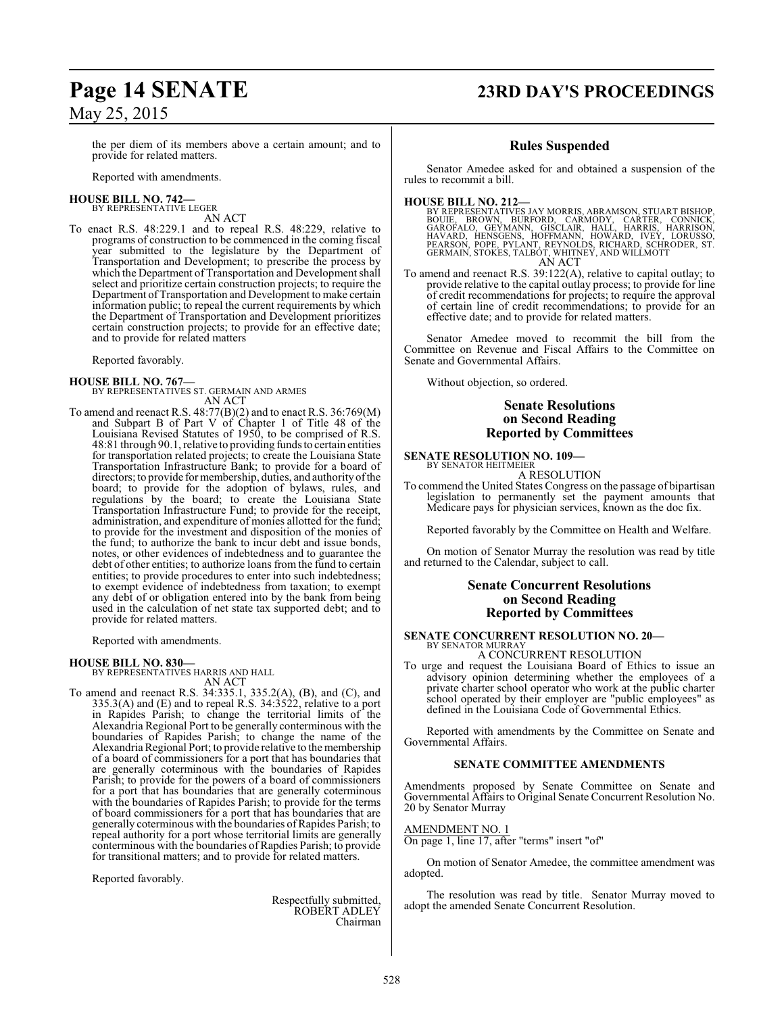## **Page 14 SENATE 23RD DAY'S PROCEEDINGS**

the per diem of its members above a certain amount; and to provide for related matters.

Reported with amendments.

#### **HOUSE BILL NO. 742—** BY REPRESENTATIVE LEGER

AN ACT

To enact R.S. 48:229.1 and to repeal R.S. 48:229, relative to programs of construction to be commenced in the coming fiscal year submitted to the legislature by the Department of Transportation and Development; to prescribe the process by which the Department of Transportation and Development shall select and prioritize certain construction projects; to require the Department of Transportation and Development to make certain information public; to repeal the current requirements by which the Department of Transportation and Development prioritizes certain construction projects; to provide for an effective date; and to provide for related matters

Reported favorably.

#### **HOUSE BILL NO. 767—**

BY REPRESENTATIVES ST. GERMAIN AND ARMES AN ACT

To amend and reenact R.S. 48:77(B)(2) and to enact R.S. 36:769(M) and Subpart B of Part V of Chapter 1 of Title 48 of the Louisiana Revised Statutes of 1950, to be comprised of R.S. 48:81 through 90.1, relative to providing fundsto certain entities for transportation related projects; to create the Louisiana State Transportation Infrastructure Bank; to provide for a board of directors; to provide for membership, duties, and authority ofthe board; to provide for the adoption of bylaws, rules, and regulations by the board; to create the Louisiana State Transportation Infrastructure Fund; to provide for the receipt, administration, and expenditure of monies allotted for the fund; to provide for the investment and disposition of the monies of the fund; to authorize the bank to incur debt and issue bonds, notes, or other evidences of indebtedness and to guarantee the debt of other entities; to authorize loans from the fund to certain entities; to provide procedures to enter into such indebtedness; to exempt evidence of indebtedness from taxation; to exempt any debt of or obligation entered into by the bank from being used in the calculation of net state tax supported debt; and to provide for related matters.

Reported with amendments.

#### **HOUSE BILL NO. 830—**

BY REPRESENTATIVES HARRIS AND HALL

AN ACT

To amend and reenact R.S. 34:335.1, 335.2(A), (B), and (C), and 335.3(A) and (E) and to repeal R.S. 34:3522, relative to a port in Rapides Parish; to change the territorial limits of the Alexandria Regional Port to be generally conterminous with the boundaries of Rapides Parish; to change the name of the Alexandria Regional Port; to provide relative to the membership of a board of commissioners for a port that has boundaries that are generally coterminous with the boundaries of Rapides Parish; to provide for the powers of a board of commissioners for a port that has boundaries that are generally coterminous with the boundaries of Rapides Parish; to provide for the terms of board commissioners for a port that has boundaries that are generally coterminous with the boundaries of Rapides Parish; to repeal authority for a port whose territorial limits are generally conterminous with the boundaries of Rapdies Parish; to provide for transitional matters; and to provide for related matters.

Reported favorably.

Respectfully submitted, ROBERT ADLEY Chairman

#### **Rules Suspended**

Senator Amedee asked for and obtained a suspension of the rules to recommit a bill.

**HOUSE BILL NO. 212—**

BY REPRESENTATIVES JAY MORRIS, ABRAMSON, STUART BISHOP,<br>BOUIE, BROWN, BURFORD, CARMODY, CARTER, CONNICK,<br>GAROFALO, GEYMANN, GISCLAIR, HALL, HARRIS, HARRISON,<br>HAVARD, HENSGENS, HOFFMANN, HOWARD, I AN ACT

To amend and reenact R.S. 39:122(A), relative to capital outlay; to provide relative to the capital outlay process; to provide for line of credit recommendations for projects; to require the approval of certain line of credit recommendations; to provide for an effective date; and to provide for related matters.

Senator Amedee moved to recommit the bill from the Committee on Revenue and Fiscal Affairs to the Committee on Senate and Governmental Affairs.

Without objection, so ordered.

#### **Senate Resolutions on Second Reading Reported by Committees**

#### **SENATE RESOLUTION NO. 109—** BY SENATOR HEITMEIER

A RESOLUTION

To commend the United States Congress on the passage of bipartisan legislation to permanently set the payment amounts that Medicare pays for physician services, known as the doc fix.

Reported favorably by the Committee on Health and Welfare.

On motion of Senator Murray the resolution was read by title and returned to the Calendar, subject to call.

#### **Senate Concurrent Resolutions on Second Reading Reported by Committees**

## **SENATE CONCURRENT RESOLUTION NO. 20—** BY SENATOR MURRAY

A CONCURRENT RESOLUTION

To urge and request the Louisiana Board of Ethics to issue an advisory opinion determining whether the employees of a private charter school operator who work at the public charter school operated by their employer are "public employees" as defined in the Louisiana Code of Governmental Ethics.

Reported with amendments by the Committee on Senate and Governmental Affairs.

#### **SENATE COMMITTEE AMENDMENTS**

Amendments proposed by Senate Committee on Senate and Governmental Affairs to Original Senate Concurrent Resolution No. 20 by Senator Murray

AMENDMENT NO. 1

On page 1, line 17, after "terms" insert "of"

On motion of Senator Amedee, the committee amendment was adopted.

The resolution was read by title. Senator Murray moved to adopt the amended Senate Concurrent Resolution.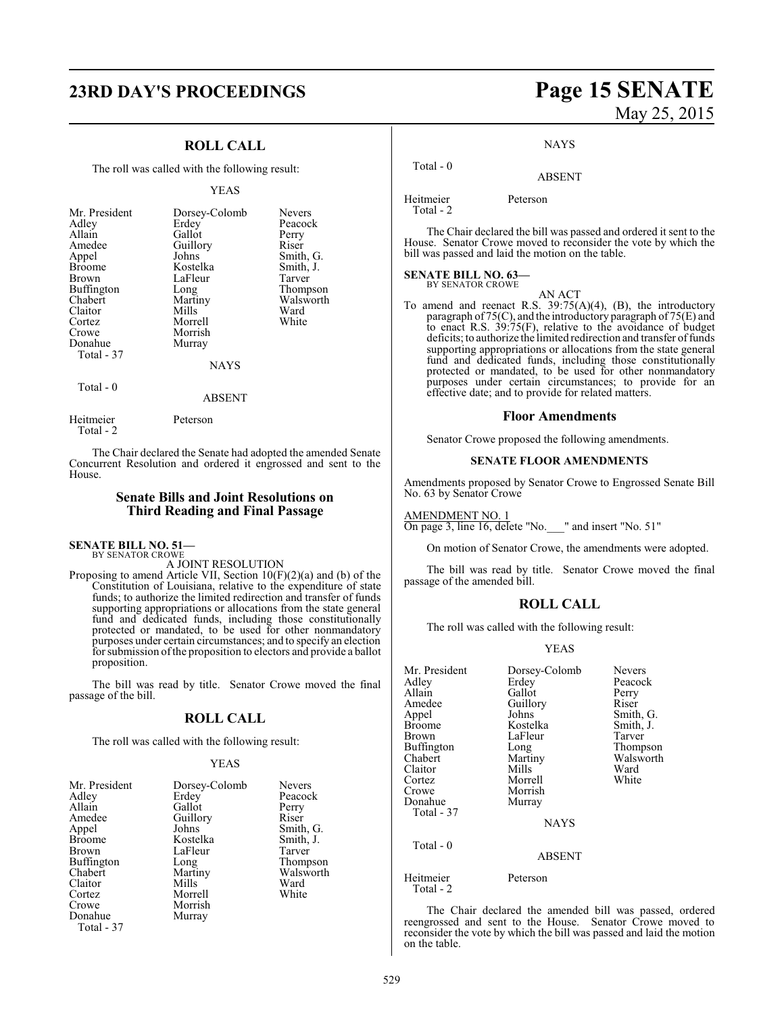## **23RD DAY'S PROCEEDINGS Page 15 SENATE**

### **ROLL CALL**

The roll was called with the following result:

#### YEAS

| Mr. President<br>Adley<br>Allain<br>Amedee<br>Appel<br><b>Broome</b><br>Brown<br>Buffington<br>Chabert<br>Claitor<br>Cortez<br>Crowe<br>Donahue | Dorsey-Colomb<br>Erdey<br>Gallot<br>Guillory<br>Johns<br>Kostelka<br>LaFleur<br>Long<br>Martiny<br>Mills<br>Morrell<br>Morrish<br>Murray | <b>Nevers</b><br>Peacock<br>Perry<br>Riser<br>Smith, G.<br>Smith, J.<br>Tarver<br>Thompson<br>Walsworth<br>Ward<br>White |
|-------------------------------------------------------------------------------------------------------------------------------------------------|------------------------------------------------------------------------------------------------------------------------------------------|--------------------------------------------------------------------------------------------------------------------------|
| Total - 37                                                                                                                                      | <b>NAYS</b>                                                                                                                              |                                                                                                                          |
| Total $-0$                                                                                                                                      | ABSENT                                                                                                                                   |                                                                                                                          |

The Chair declared the Senate had adopted the amended Senate Concurrent Resolution and ordered it engrossed and sent to the House.

#### **Senate Bills and Joint Resolutions on Third Reading and Final Passage**

**SENATE BILL NO. 51—** BY SENATOR CROWE

Heitmeier Peterson

Total - 2

A JOINT RESOLUTION

Proposing to amend Article VII, Section 10(F)(2)(a) and (b) of the Constitution of Louisiana, relative to the expenditure of state funds; to authorize the limited redirection and transfer of funds supporting appropriations or allocations from the state general fund and dedicated funds, including those constitutionally protected or mandated, to be used for other nonmandatory purposes under certain circumstances; and to specify an election for submission ofthe proposition to electors and provide a ballot proposition.

The bill was read by title. Senator Crowe moved the final passage of the bill.

### **ROLL CALL**

The roll was called with the following result:

#### YEAS

| Mr. President | Dorsey-Colomb |
|---------------|---------------|
| Erdey         | <b>Nevers</b> |
| Adley         | Peacock       |
| Gallot        | Perry         |
| Allain        | Riser         |
| Amedee        | Guillory      |
| Johns         | Smith, G.     |
| Appel         | Smith, J.     |
| <b>Broome</b> | Kostelka      |
| <b>Brown</b>  | LaFleur       |
| Buffington    | Tarver        |
| Long          | Thompson      |
| Chabert       | Walsworth     |
| Mills         | Martiny       |
| Claitor       | Ward          |
| Cortez        | White         |
| Crowe         | Morrell       |
| Donahue       | Morrish       |
| Total - 37    | Murray        |

# May 25, 2015

**NAYS** 

#### ABSENT

Heitmeier Peterson

Total - 0

Total - 2

The Chair declared the bill was passed and ordered it sent to the House. Senator Crowe moved to reconsider the vote by which the bill was passed and laid the motion on the table.

## **SENATE BILL NO. 63—** BY SENATOR CROWE

AN ACT

To amend and reenact R.S. 39:75(A)(4), (B), the introductory paragraph of 75(C), and the introductory paragraph of 75(E) and to enact R.S. 39:75(F), relative to the avoidance of budget deficits; to authorize the limited redirection and transfer of funds supporting appropriations or allocations from the state general fund and dedicated funds, including those constitutionally protected or mandated, to be used for other nonmandatory purposes under certain circumstances; to provide for an effective date; and to provide for related matters.

#### **Floor Amendments**

Senator Crowe proposed the following amendments.

#### **SENATE FLOOR AMENDMENTS**

Amendments proposed by Senator Crowe to Engrossed Senate Bill No. 63 by Senator Crowe

AMENDMENT NO. 1 On page 3, line 16, delete "No. " and insert "No. 51"

On motion of Senator Crowe, the amendments were adopted.

The bill was read by title. Senator Crowe moved the final passage of the amended bill.

#### **ROLL CALL**

The roll was called with the following result:

#### YEAS

| Mr. President<br>Adley<br>Allain<br>Amedee<br>Appel<br><b>Broome</b><br>Brown<br>Buffington<br>Chabert<br>Claitor<br>Cortez<br>Crowe<br>Donahue<br>Total - 37 | Dorsey-Colomb<br>Erdey<br>Gallot<br>Guillory<br>Johns<br>Kostelka<br>LaFleur<br>Long<br>Martiny<br>Mills<br>Morrell<br>Morrish<br>Murray | <b>Nevers</b><br>Peacock<br>Perry<br>Riser<br>Smith, G.<br>Smith, J.<br>Tarver<br>Thompson<br>Walsworth<br>Ward<br>White |
|---------------------------------------------------------------------------------------------------------------------------------------------------------------|------------------------------------------------------------------------------------------------------------------------------------------|--------------------------------------------------------------------------------------------------------------------------|
|                                                                                                                                                               | <b>NAYS</b>                                                                                                                              |                                                                                                                          |
| Total - 0                                                                                                                                                     | ABSENT                                                                                                                                   |                                                                                                                          |
| Heitmeier<br>Total - 2                                                                                                                                        | Peterson                                                                                                                                 |                                                                                                                          |

The Chair declared the amended bill was passed, ordered reengrossed and sent to the House. Senator Crowe moved to reconsider the vote by which the bill was passed and laid the motion on the table.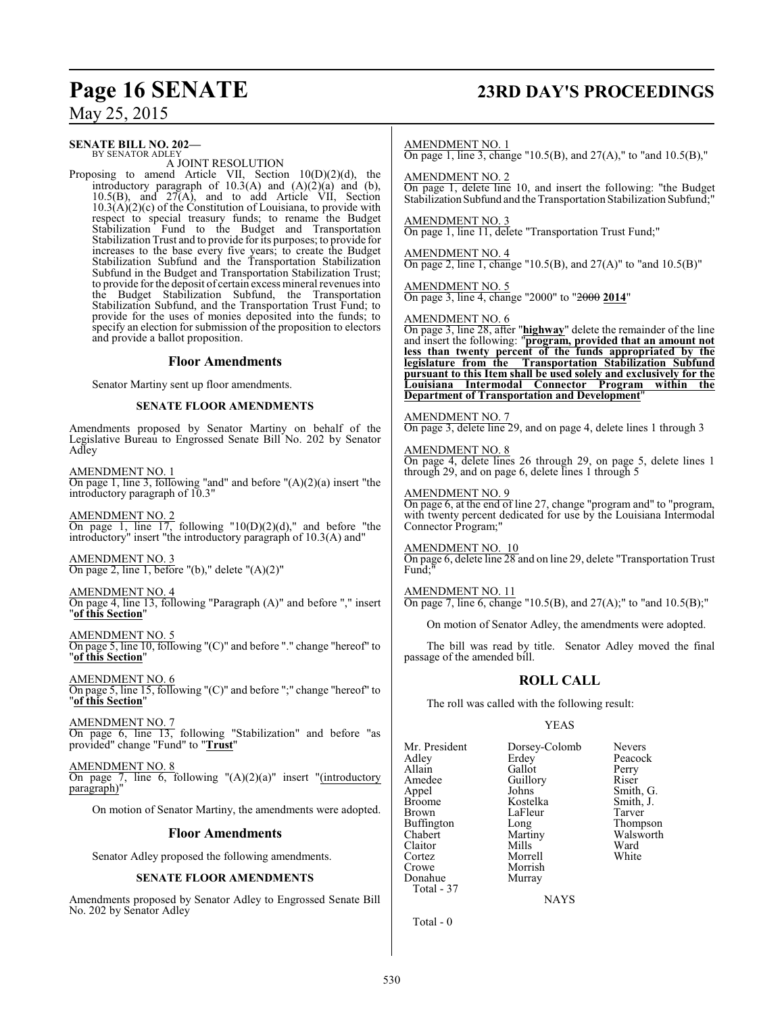## **Page 16 SENATE 23RD DAY'S PROCEEDINGS**

May 25, 2015

#### **SENATE BILL NO. 202—** BY SENATOR ADLEY

A JOINT RESOLUTION

Proposing to amend Article VII, Section 10(D)(2)(d), the introductory paragraph of  $10.3(A)$  and  $(A)(2)(a)$  and  $(b)$ ,  $10.5(B)$ , and  $27(A)$ , and to add Article VII, Section  $10.3(A)(2)(c)$  of the Constitution of Louisiana, to provide with respect to special treasury funds; to rename the Budget Stabilization Fund to the Budget and Transportation Stabilization Trust and to provide for its purposes; to provide for increases to the base every five years; to create the Budget Stabilization Subfund and the Transportation Stabilization Subfund in the Budget and Transportation Stabilization Trust; to provide for the deposit of certain excess mineral revenues into the Budget Stabilization Subfund, the Transportation Stabilization Subfund, and the Transportation Trust Fund; to provide for the uses of monies deposited into the funds; to specify an election for submission of the proposition to electors and provide a ballot proposition.

#### **Floor Amendments**

Senator Martiny sent up floor amendments.

#### **SENATE FLOOR AMENDMENTS**

Amendments proposed by Senator Martiny on behalf of the Legislative Bureau to Engrossed Senate Bill No. 202 by Senator Adley

AMENDMENT NO. 1 On page 1, line 3, following "and" and before "(A)(2)(a) insert "the introductory paragraph of 10.3"

AMENDMENT NO. 2 On page 1, line  $17$ , following "10(D)(2)(d)," and before "the introductory" insert "the introductory paragraph of 10.3(A) and"

AMENDMENT NO. 3 On page 2, line 1, before "(b)," delete "(A)(2)"

AMENDMENT NO. 4

On page 4, line 13, following "Paragraph (A)" and before "," insert "**of this Section**"

AMENDMENT NO. 5 On page 5, line 10, following "(C)" and before "." change "hereof" to "**of this Section**"

AMENDMENT NO. 6 On page 5, line 15, following "(C)" and before ";" change "hereof" to "**of this Section**"

AMENDMENT NO. 7 On page 6, line 13, following "Stabilization" and before "as provided" change "Fund" to "**Trust**"

AMENDMENT NO. 8 On page 7, line 6, following  $(A)(2)(a)$ " insert "(introductory paragraph)"

On motion of Senator Martiny, the amendments were adopted.

#### **Floor Amendments**

Senator Adley proposed the following amendments.

#### **SENATE FLOOR AMENDMENTS**

Amendments proposed by Senator Adley to Engrossed Senate Bill No. 202 by Senator Adley

#### AMENDMENT NO. 1

On page 1, line 3, change "10.5(B), and 27(A)," to "and 10.5(B),"

AMENDMENT NO. 2

On page 1, delete line 10, and insert the following: "the Budget Stabilization Subfund and the Transportation Stabilization Subfund;"

AMENDMENT NO. 3 On page 1, line 11, delete "Transportation Trust Fund;"

AMENDMENT NO. 4 On page 2, line 1, change "10.5(B), and  $27(A)$ " to "and  $10.5(B)$ "

AMENDMENT NO. 5 On page 3, line 4, change "2000" to "2000 **2014**"

#### AMENDMENT NO. 6

On page 3, line 28, after "**highway**" delete the remainder of the line and insert the following: "**program, provided that an amount not less than twenty percent of the funds appropriated by the legislature from the Transportation Stabilization Subfund pursuant to this Item shall be used solely and exclusively for the Louisiana Intermodal Connector Program within the Department of Transportation and Development**"

AMENDMENT NO. 7 On page 3, delete line 29, and on page 4, delete lines 1 through 3

AMENDMENT NO. 8 On page 4, delete lines 26 through 29, on page 5, delete lines 1 through 29, and on page 6, delete lines 1 through 5

#### AMENDMENT NO. 9

On page 6, at the end of line 27, change "program and" to "program, with twenty percent dedicated for use by the Louisiana Intermodal Connector Program;

AMENDMENT NO. 10

On page 6, delete line 28 and on line 29, delete "Transportation Trust Fund:

AMENDMENT NO. 11 On page 7, line 6, change "10.5(B), and 27(A);" to "and 10.5(B);"

On motion of Senator Adley, the amendments were adopted.

The bill was read by title. Senator Adley moved the final passage of the amended bill.

#### **ROLL CALL**

The roll was called with the following result:

#### YEAS

| Mr. President     | Dorsey-Colomb | <b>Nevers</b> |
|-------------------|---------------|---------------|
| Adley             | Erdey         | Peacock       |
| Allain            | Gallot        | Perry         |
| Amedee            | Guillory      | Riser         |
| Appel             | Johns         | Smith, G.     |
| <b>Broome</b>     | Kostelka      | Smith, J.     |
| Brown             | LaFleur       | Tarver        |
| <b>Buffington</b> | Long          | Thompson      |
| Chabert           | Martiny       | Walsworth     |
| Claitor           | Mills         | Ward          |
| Cortez            | Morrell       | White         |
| Crowe             | Morrish       |               |
| Donahue           | Murray        |               |
| Total - 37        |               |               |

**NAYS** 

Total - 0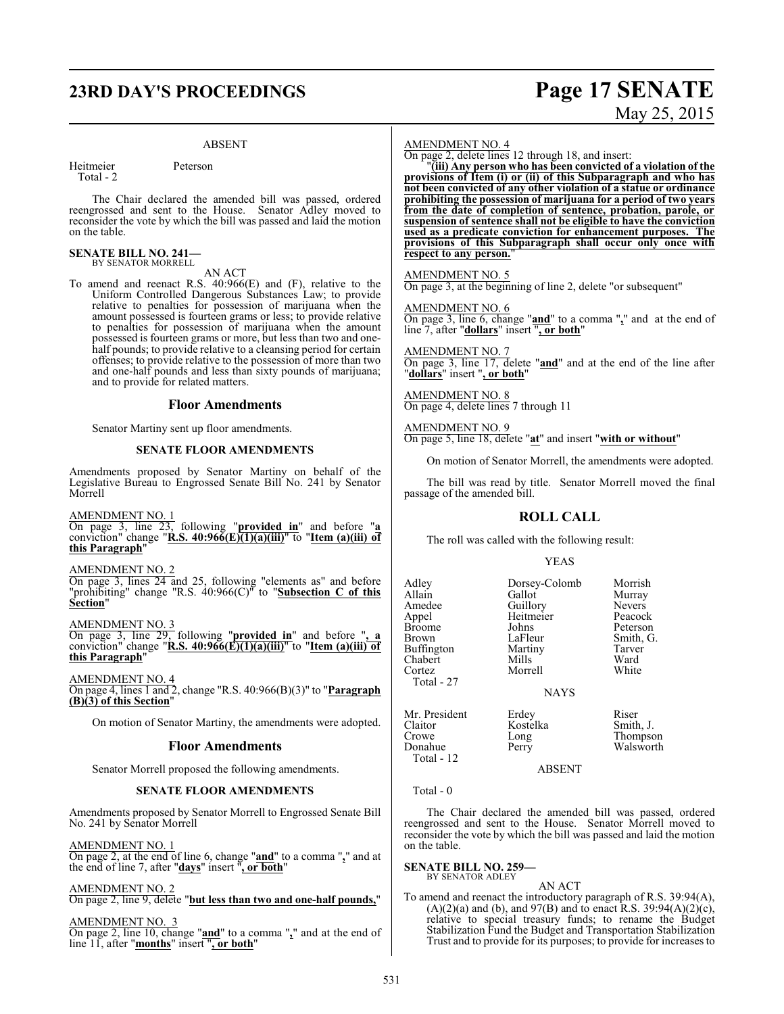## **23RD DAY'S PROCEEDINGS Page 17 SENATE**

#### ABSENT

Heitmeier Peterson Total - 2

The Chair declared the amended bill was passed, ordered reengrossed and sent to the House. Senator Adley moved to reconsider the vote by which the bill was passed and laid the motion on the table.

#### **SENATE BILL NO. 241—** BY SENATOR MORRELL

AN ACT

To amend and reenact R.S. 40:966(E) and (F), relative to the Uniform Controlled Dangerous Substances Law; to provide relative to penalties for possession of marijuana when the amount possessed is fourteen grams or less; to provide relative to penalties for possession of marijuana when the amount possessed is fourteen grams or more, but less than two and onehalf pounds; to provide relative to a cleansing period for certain offenses; to provide relative to the possession of more than two and one-half pounds and less than sixty pounds of marijuana; and to provide for related matters.

#### **Floor Amendments**

Senator Martiny sent up floor amendments.

#### **SENATE FLOOR AMENDMENTS**

Amendments proposed by Senator Martiny on behalf of the Legislative Bureau to Engrossed Senate Bill No. 241 by Senator Morrell

AMENDMENT NO. 1

On page 3, line 23, following "**provided in**" and before "**a** conviction" change "**R.S. 40:966(E)(1)(a)(iii)**" to "**Item (a)(iii) of this Paragraph**"

#### AMENDMENT NO. 2

On page 3, lines 24 and 25, following "elements as" and before "prohibiting" change "R.S. 40:966(C)" to "**Subsection C of this Section**"

#### AMENDMENT NO. 3

On page 3, line 29, following "**provided in**" and before "**, a** conviction" change "**R.S. 40:966(E)(1)(a)(iii)**" to "**Item (a)(iii) of this Paragraph**"

AMENDMENT NO. 4

On page 4, lines 1 and 2, change "R.S. 40:966(B)(3)" to "**Paragraph (B)(3) of this Section**"

On motion of Senator Martiny, the amendments were adopted.

#### **Floor Amendments**

Senator Morrell proposed the following amendments.

#### **SENATE FLOOR AMENDMENTS**

Amendments proposed by Senator Morrell to Engrossed Senate Bill No. 241 by Senator Morrell

AMENDMENT NO. 1

On page 2, at the end of line 6, change "**and**" to a comma "**,**" and at the end of line 7, after "**days**" insert "**, or both**"

#### AMENDMENT NO. 2

On page 2, line 9, delete "**but less than two and one-half pounds,**"

#### AMENDMENT NO. 3

On page 2, line 10, change "**and**" to a comma "**,**" and at the end of line 11, after "**months**" insert "**, or both**"

#### AMENDMENT NO. 4

On page 2, delete lines 12 through 18, and insert:

"**(iii) Any person who has been convicted of a violation of the provisions of Item (i) or (ii) of this Subparagraph and who has not been convicted of any other violation of a statue or ordinance prohibiting the possession of marijuana for a period of two years from the date of completion of sentence, probation, parole, or suspension of sentence shall not be eligible to have the conviction used as a predicate conviction for enhancement purposes. The provisions of this Subparagraph shall occur only once with respect to any person.**"

#### AMENDMENT NO. 5

On page 3, at the beginning of line 2, delete "or subsequent"

AMENDMENT NO. 6 On page 3, line 6, change "**and**" to a comma "**,**" and at the end of line 7, after "**dollars**" insert "**, or both**"

AMENDMENT NO. 7 On page 3, line 17, delete "**and**" and at the end of the line after "**dollars**" insert "**, or both**"

AMENDMENT NO. 8 On page 4, delete lines 7 through 11

AMENDMENT NO. 9 On page 5, line 18, delete "**at**" and insert "**with or without**"

On motion of Senator Morrell, the amendments were adopted.

The bill was read by title. Senator Morrell moved the final passage of the amended bill.

#### **ROLL CALL**

The roll was called with the following result:

#### YEAS

| Adley         | Dorsey-Colomb | Morrish       |
|---------------|---------------|---------------|
| Allain        | Gallot        | Murray        |
| Amedee        | Guillory      | <b>Nevers</b> |
| Appel         | Heitmeier     | Peacock       |
| <b>Broome</b> | Johns         | Peterson      |
| <b>Brown</b>  | LaFleur       | Smith, G.     |
| Buffington    | Martiny       | Tarver        |
| Chabert       | Mills         | Ward          |
| Cortez        | Morrell       | White         |
| Total - 27    |               |               |
|               | <b>NAYS</b>   |               |
| Mr. President | Erdey         | Riser         |
| Claitor       | Kostelka      | Smith, J.     |
| Crowe         | Long          | Thompson      |
| Donahue       | Perrv         | Walsworth     |
|               |               |               |

ABSENT

Walsworth

Total - 0

Total - 12

The Chair declared the amended bill was passed, ordered reengrossed and sent to the House. Senator Morrell moved to reconsider the vote by which the bill was passed and laid the motion on the table.

#### **SENATE BILL NO. 259—** BY SENATOR ADLEY

#### AN ACT

To amend and reenact the introductory paragraph of R.S. 39:94(A),  $(A)(2)(a)$  and  $(b)$ , and  $97(B)$  and to enact R.S. 39:94 $(A)(2)(c)$ , relative to special treasury funds; to rename the Budget Stabilization Fund the Budget and Transportation Stabilization Trust and to provide for its purposes; to provide for increases to

# May 25, 2015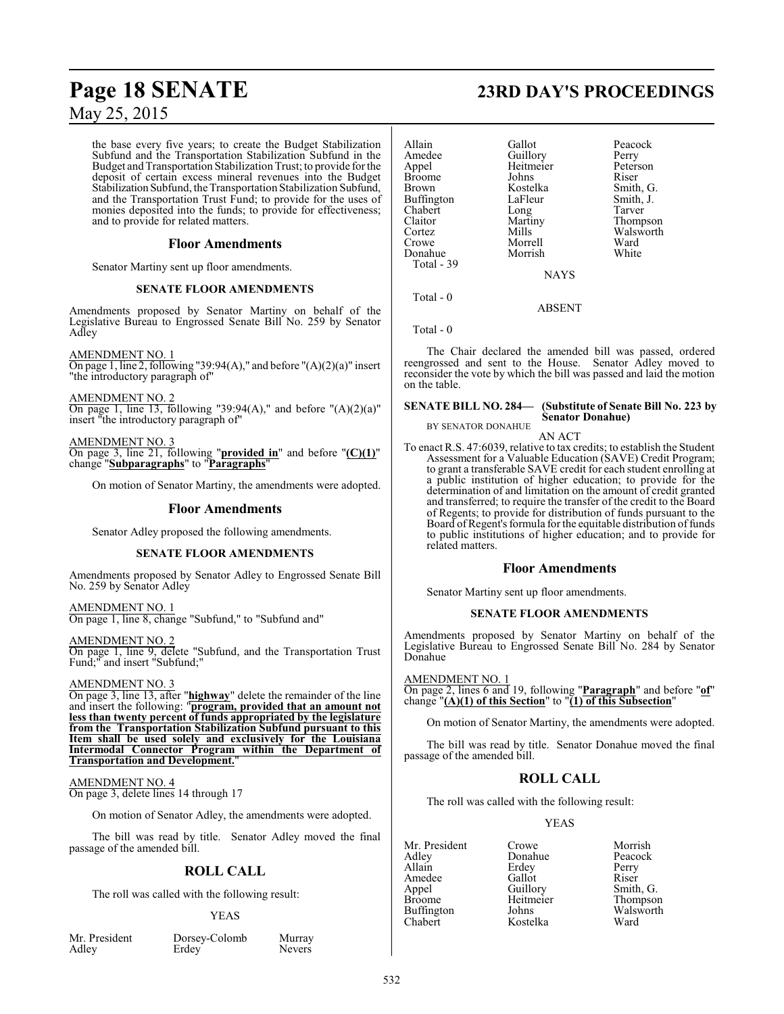the base every five years; to create the Budget Stabilization Subfund and the Transportation Stabilization Subfund in the Budget and Transportation Stabilization Trust; to provide for the deposit of certain excess mineral revenues into the Budget Stabilization Subfund, the Transportation Stabilization Subfund, and the Transportation Trust Fund; to provide for the uses of monies deposited into the funds; to provide for effectiveness; and to provide for related matters.

#### **Floor Amendments**

Senator Martiny sent up floor amendments.

#### **SENATE FLOOR AMENDMENTS**

Amendments proposed by Senator Martiny on behalf of the Legislative Bureau to Engrossed Senate Bill No. 259 by Senator Adley

AMENDMENT NO. 1 On page 1, line 2, following "39:94(A)," and before " $(A)(2)(a)$ " insert "the introductory paragraph of"

AMENDMENT NO. 2 On page 1, line 13, following "39:94(A)," and before " $(A)(2)(a)$ " insert "the introductory paragraph of"

AMENDMENT NO. 3 On page 3, line 21, following "**provided in**" and before "**(C)(1)**" change "**Subparagraphs**" to "**Paragraphs**"

On motion of Senator Martiny, the amendments were adopted.

#### **Floor Amendments**

Senator Adley proposed the following amendments.

#### **SENATE FLOOR AMENDMENTS**

Amendments proposed by Senator Adley to Engrossed Senate Bill No. 259 by Senator Adley

AMENDMENT NO. 1 On page 1, line 8, change "Subfund," to "Subfund and"

AMENDMENT NO. 2 On page 1, line 9, delete "Subfund, and the Transportation Trust Fund;" and insert "Subfund;"

#### AMENDMENT NO. 3

On page 3, line 13, after "**highway**" delete the remainder of the line and insert the following: "**program, provided that an amount not less than twenty percent of funds appropriated by the legislature from the Transportation Stabilization Subfund pursuant to this Item shall be used solely and exclusively for the Louisiana Intermodal Connector Program within the Department of Transportation and Development.**"

#### AMENDMENT NO. 4

On page 3, delete lines 14 through 17

On motion of Senator Adley, the amendments were adopted.

The bill was read by title. Senator Adley moved the final passage of the amended bill.

#### **ROLL CALL**

The roll was called with the following result:

#### YEAS

|       | Mr. President |
|-------|---------------|
| Adley |               |

Dorsey-Colomb Murray<br>Erdey Nevers

Nevers

## **Page 18 SENATE 23RD DAY'S PROCEEDINGS**

| Allain<br>Amedee<br>Appel<br>Broome<br>Brown<br>Buffington<br>Chabert<br>Claitor<br>Cortez<br>Crowe<br>Donahue<br>Total - 39 | Gallot<br>Guillory<br>Heitmeier<br>Johns<br>Kostelka<br>LaFleur<br>Long<br>Martiny<br>Mills<br>Morrell<br>Morrish<br><b>NAYS</b> | Peacock<br>Perry<br>Peterson<br>Riser<br>Smith, G.<br>Smith, J.<br>Tarver<br>Thompson<br>Walsworth<br>Ward<br>White |
|------------------------------------------------------------------------------------------------------------------------------|----------------------------------------------------------------------------------------------------------------------------------|---------------------------------------------------------------------------------------------------------------------|
| Total - 0                                                                                                                    |                                                                                                                                  |                                                                                                                     |

ABSENT

Total - 0

The Chair declared the amended bill was passed, ordered reengrossed and sent to the House. Senator Adley moved to reconsider the vote by which the bill was passed and laid the motion on the table.

#### **SENATE BILL NO. 284— (Substitute of Senate Bill No. 223 by Senator Donahue)** BY SENATOR DONAHUE

AN ACT

To enact R.S. 47:6039, relative to tax credits; to establish the Student Assessment for a Valuable Education (SAVE) Credit Program; to grant a transferable SAVE credit for each student enrolling at a public institution of higher education; to provide for the determination of and limitation on the amount of credit granted and transferred; to require the transfer of the credit to the Board of Regents; to provide for distribution of funds pursuant to the Board of Regent's formula for the equitable distribution of funds to public institutions of higher education; and to provide for related matters.

#### **Floor Amendments**

Senator Martiny sent up floor amendments.

#### **SENATE FLOOR AMENDMENTS**

Amendments proposed by Senator Martiny on behalf of the Legislative Bureau to Engrossed Senate Bill No. 284 by Senator Donahue

#### AMENDMENT NO. 1

On page 2, lines 6 and 19, following "**Paragraph**" and before "**of**" change "**(A)(1) of this Section**" to "**(1) of this Subsection**"

On motion of Senator Martiny, the amendments were adopted.

The bill was read by title. Senator Donahue moved the final passage of the amended bill.

### **ROLL CALL**

The roll was called with the following result:

Kostelka

#### YEAS

Mr. President Crowe Morrish<br>Adley Donahue Peacock Adley Donahue Peacock Amedee Gallot<br>
Appel Guillory Appel Guillory Smith, G.<br>Broome Heitmeier Thompson Buffington Johns Walsworth<br>
Supervisory<br>
Chabert Kostelka Ward

Erdey Perry<br>Gallot Riser Thompson<br>Walsworth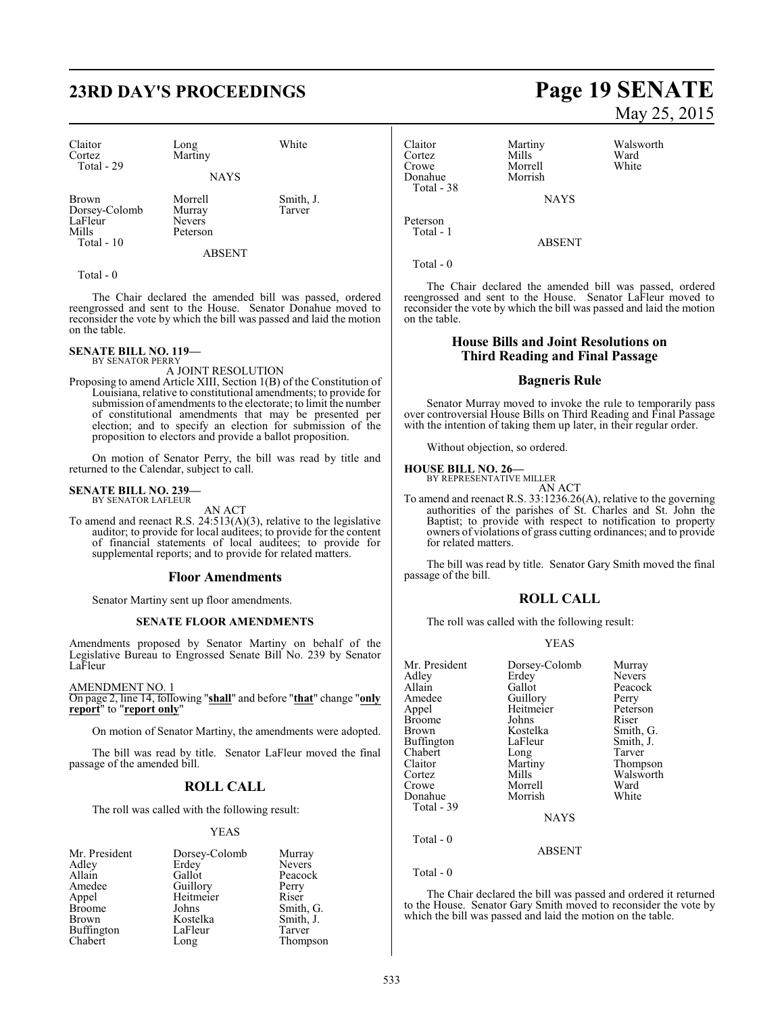# **23RD DAY'S PROCEEDINGS Page 19 SENATE**

| Claitor<br>Cortez<br>Total - 29                          | Long<br>Martiny<br><b>NAYS</b>                 | White               |
|----------------------------------------------------------|------------------------------------------------|---------------------|
| Brown<br>Dorsey-Colomb<br>LaFleur<br>Mills<br>Total - 10 | Morrell<br>Murray<br><b>Nevers</b><br>Peterson | Smith, J.<br>Tarver |
|                                                          | ABSENT                                         |                     |

Total - 0

The Chair declared the amended bill was passed, ordered reengrossed and sent to the House. Senator Donahue moved to reconsider the vote by which the bill was passed and laid the motion on the table.

#### **SENATE BILL NO. 119—**

BY SENATOR PERRY A JOINT RESOLUTION

Proposing to amend Article XIII, Section 1(B) of the Constitution of Louisiana, relative to constitutional amendments; to provide for submission of amendments to the electorate; to limit the number of constitutional amendments that may be presented per election; and to specify an election for submission of the proposition to electors and provide a ballot proposition.

On motion of Senator Perry, the bill was read by title and returned to the Calendar, subject to call.

#### **SENATE BILL NO. 239—** BY SENATOR LAFLEUR

AN ACT

To amend and reenact R.S. 24:513(A)(3), relative to the legislative auditor; to provide for local auditees; to provide for the content of financial statements of local auditees; to provide for supplemental reports; and to provide for related matters.

#### **Floor Amendments**

Senator Martiny sent up floor amendments.

#### **SENATE FLOOR AMENDMENTS**

Amendments proposed by Senator Martiny on behalf of the Legislative Bureau to Engrossed Senate Bill No. 239 by Senator LaFleur

#### AMENDMENT NO. 1

On page 2, line 14, following "**shall**" and before "**that**" change "**only report**" to "**report only**"

On motion of Senator Martiny, the amendments were adopted.

The bill was read by title. Senator LaFleur moved the final passage of the amended bill.

#### **ROLL CALL**

The roll was called with the following result:

#### YEAS

| Mr. President | Dorsey-Colomb | Murray        |
|---------------|---------------|---------------|
| Adley         | Erdey         | <b>Nevers</b> |
| Allain        | Gallot        | Peacock       |
| Amedee        | Guillory      | Perry         |
| Appel         | Heitmeier     | Riser         |
| <b>Broome</b> | Johns         | Smith, G.     |
| <b>Brown</b>  | Kostelka      | Smith, J.     |
| Buffington    | LaFleur       | Tarver        |
| Chabert       | Long          | Thompson      |

Claitor Martiny Walsworth Cortez Mills Ward<br>Crowe Morrell White Donahue Total - 38

NAYS

Morrell<br>Morrish

ABSENT

Total - 0

Peterson Total - 1

The Chair declared the amended bill was passed, ordered reengrossed and sent to the House. Senator LaFleur moved to reconsider the vote by which the bill was passed and laid the motion on the table.

#### **House Bills and Joint Resolutions on Third Reading and Final Passage**

#### **Bagneris Rule**

Senator Murray moved to invoke the rule to temporarily pass over controversial House Bills on Third Reading and Final Passage with the intention of taking them up later, in their regular order.

Without objection, so ordered.

#### **HOUSE BILL NO. 26—**

BY REPRESENTATIVE MILLER AN ACT

To amend and reenact R.S. 33:1236.26(A), relative to the governing authorities of the parishes of St. Charles and St. John the Baptist; to provide with respect to notification to property owners of violations of grass cutting ordinances; and to provide for related matters.

The bill was read by title. Senator Gary Smith moved the final passage of the bill.

#### **ROLL CALL**

The roll was called with the following result:

#### YEAS

| Mr. President<br>Adley<br>Allain<br>Amedee<br>Appel<br>Broome<br>Brown<br>Buffington<br>Chabert<br>Claitor<br>Cortez<br>Crowe<br>Donahue<br>Total - 39 | Dorsey-Colomb<br>Erdey<br>Gallot<br>Guillory<br>Heitmeier<br>Johns<br>Kostelka<br>LaFleur<br>Long<br>Martiny<br>Mills<br>Morrell<br>Morrish<br><b>NAYS</b> | Murray<br><b>Nevers</b><br>Peacock<br>Perry<br>Peterson<br>Riser<br>Smith, G.<br>Smith, J.<br>Tarver<br>Thompson<br>Walsworth<br>Ward<br>White |
|--------------------------------------------------------------------------------------------------------------------------------------------------------|------------------------------------------------------------------------------------------------------------------------------------------------------------|------------------------------------------------------------------------------------------------------------------------------------------------|
|                                                                                                                                                        |                                                                                                                                                            |                                                                                                                                                |
| Total - 0                                                                                                                                              | <b>ABSENT</b>                                                                                                                                              |                                                                                                                                                |

Total - 0

The Chair declared the bill was passed and ordered it returned to the House. Senator Gary Smith moved to reconsider the vote by which the bill was passed and laid the motion on the table.

# May 25, 2015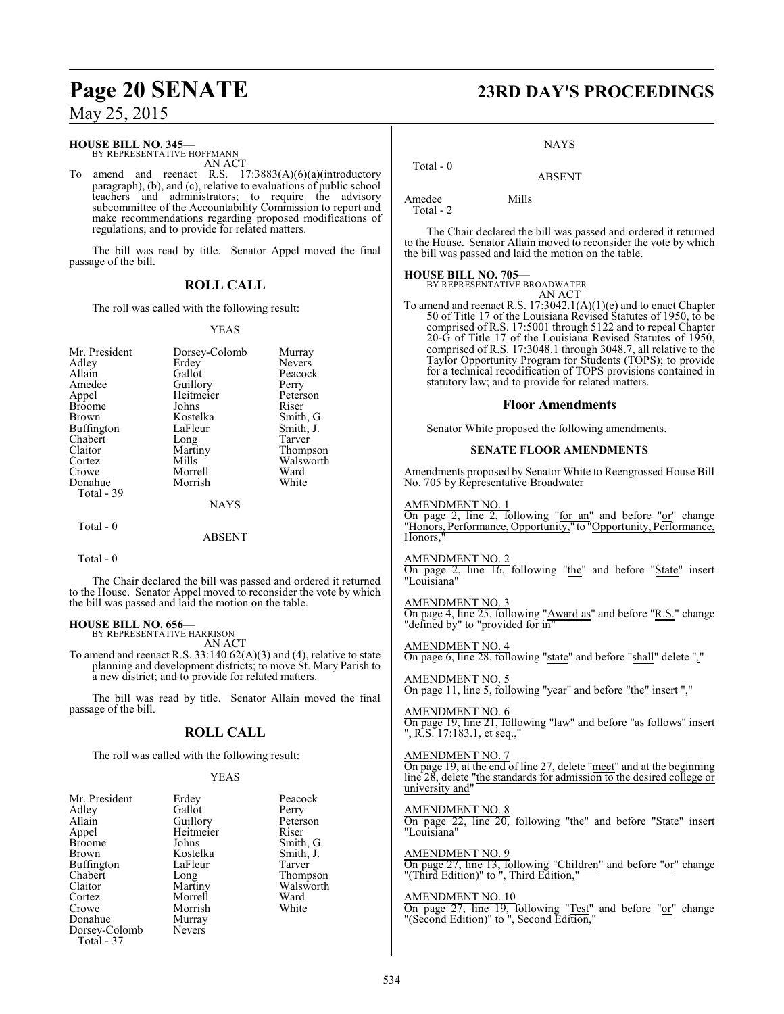#### **HOUSE BILL NO. 345—**

BY REPRESENTATIVE HOFFMANN AN ACT

To amend and reenact R.S. 17:3883(A)(6)(a)(introductory paragraph), (b), and (c), relative to evaluations of public school teachers and administrators; to require the advisory subcommittee of the Accountability Commission to report and make recommendations regarding proposed modifications of regulations; and to provide for related matters.

The bill was read by title. Senator Appel moved the final passage of the bill.

### **ROLL CALL**

The roll was called with the following result:

#### YEAS

| Mr. President | Dorsey-Colomb | Murray        |
|---------------|---------------|---------------|
| Adley         | Erdey         | <b>Nevers</b> |
| Allain        | Gallot        | Peacock       |
| Amedee        | Guillory      | Perry         |
| Appel         | Heitmeier     | Peterson      |
| Broome        | Johns         | Riser         |
| Brown         | Kostelka      | Smith, G.     |
| Buffington    | LaFleur       | Smith, J.     |
| Chabert       | Long          | Tarver        |
| Claitor       | Martiny       | Thompson      |
| Cortez        | Mills         | Walsworth     |
| Crowe         | Morrell       | Ward          |
| Donahue       | Morrish       | White         |
| Total - 39    |               |               |
|               | <b>NAYS</b>   |               |
| Total - 0     |               |               |

#### ABSENT

Total - 0

The Chair declared the bill was passed and ordered it returned to the House. Senator Appel moved to reconsider the vote by which the bill was passed and laid the motion on the table.

#### **HOUSE BILL NO. 656—**

BY REPRESENTATIVE HARRISON AN ACT

To amend and reenact R.S. 33:140.62(A)(3) and (4), relative to state planning and development districts; to move St. Mary Parish to a new district; and to provide for related matters.

The bill was read by title. Senator Allain moved the final passage of the bill.

### **ROLL CALL**

The roll was called with the following result:

#### YEAS

| Mr. President | Erdey         | Peaco  |
|---------------|---------------|--------|
| Adley         | Gallot        | Perry  |
| Allain        | Guillory      | Peters |
| Appel         | Heitmeier     | Riser  |
| <b>Broome</b> | Johns         | Smith  |
| <b>Brown</b>  | Kostelka      | Smith  |
| Buffington    | LaFleur       | Tarve  |
| Chabert       | Long          | Thom   |
| Claitor       | Martiny       | Wals   |
| Cortez        | Morrell       | Ward   |
| Crowe         | Morrish       | White  |
| Donahue       | Murray        |        |
| Dorsey-Colomb | <b>Nevers</b> |        |
| Total - 37    |               |        |

Peacock Perry Peterson<br>Riser Smith, G. Smith, J. Tarver Thompson Walsworth<br>Ward White

## **Page 20 SENATE 23RD DAY'S PROCEEDINGS**

#### NAYS

ABSENT

 Total - 0 Amedee Mills

Total - 2

The Chair declared the bill was passed and ordered it returned to the House. Senator Allain moved to reconsider the vote by which the bill was passed and laid the motion on the table.

#### **HOUSE BILL NO. 705—**

BY REPRESENTATIVE BROADWATER AN ACT

To amend and reenact R.S. 17:3042.1(A)(1)(e) and to enact Chapter 50 of Title 17 of the Louisiana Revised Statutes of 1950, to be comprised of R.S. 17:5001 through 5122 and to repeal Chapter 20-G of Title 17 of the Louisiana Revised Statutes of 1950, comprised of R.S. 17:3048.1 through 3048.7, all relative to the Taylor Opportunity Program for Students (TOPS); to provide for a technical recodification of TOPS provisions contained in statutory law; and to provide for related matters.

#### **Floor Amendments**

Senator White proposed the following amendments.

#### **SENATE FLOOR AMENDMENTS**

Amendments proposed by Senator White to Reengrossed House Bill No. 705 by Representative Broadwater

#### AMENDMENT NO. 1

On page 2, line 2, following "for an" and before "or" change "Honors, Performance, Opportunity," to "Opportunity, Performance, Honors,'

#### AMENDMENT NO. 2

On page 2, line 16, following "the" and before "State" insert "Louisiana"

#### AMENDMENT NO. 3

On page 4, line 25, following "Award as" and before "R.S." change "defined by" to "provided for in"

AMENDMENT NO. 4 On page 6, line 28, following "state" and before "shall" delete "*,*"

AMENDMENT NO. 5 On page 11, line 5, following "year" and before "the" insert ","

AMENDMENT NO. 6 On page 19, line 21, following "law" and before "as follows" insert ", R.S. 17:183.1, et seq.,"

#### AMENDMENT NO. 7

On page 19, at the end of line 27, delete "meet" and at the beginning line 28, delete "the standards for admission to the desired college or university and"

#### AMENDMENT NO. 8

On page 22, line 20, following "the" and before "State" insert "Louisiana"

## AMENDMENT NO. 9

On page 27, line 13, following "Children" and before "or" change "(Third Edition)" to ", Third Edition,"

#### AMENDMENT NO. 10

On page 27, line 19, following "Test" and before "or" change "(Second Edition)" to ", Second Edition,"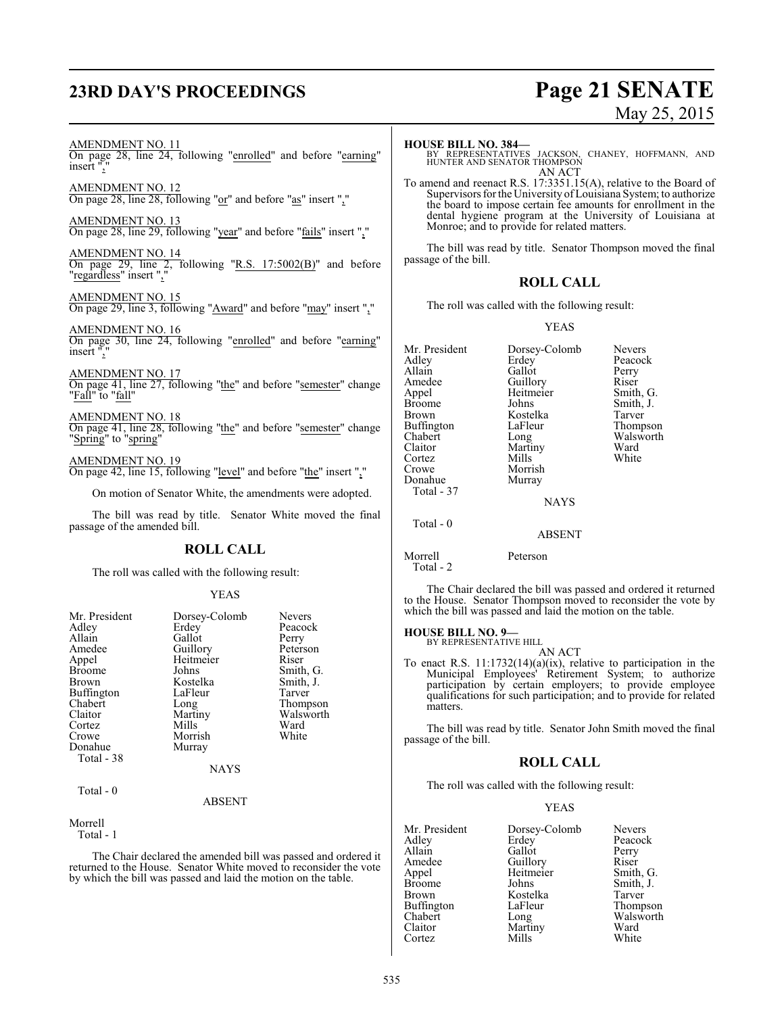## **23RD DAY'S PROCEEDINGS Page 21 SENATE**

# May 25, 2015

#### AMENDMENT NO. 11

On page 28, line 24, following "enrolled" and before "earning" insert ","

AMENDMENT NO. 12 On page 28, line 28, following "or" and before "as" insert ","

AMENDMENT NO. 13 On page 28, line 29, following "year" and before "fails" insert ","

AMENDMENT NO. 14 On page 29, line 2, following "R.S. 17:5002(B)" and before "regardless" insert ","

AMENDMENT NO. 15 On page 29, line 3, following "Award" and before "may" insert ","

AMENDMENT NO. 16 On page 30, line 24, following "enrolled" and before "earning" insert ","

AMENDMENT NO. 17 On page 41, line 27, following "the" and before "semester" change "Fall" to "fall"

AMENDMENT NO. 18 On page 41, line 28, following "the" and before "semester" change "Spring" to "spring"

AMENDMENT NO. 19 On page 42, line 15, following "level" and before "the" insert ","

On motion of Senator White, the amendments were adopted.

The bill was read by title. Senator White moved the final passage of the amended bill.

#### **ROLL CALL**

The roll was called with the following result:

#### YEAS

| Mr. President<br>Adley<br>Allain<br>Amedee<br>Appel<br><b>Broome</b><br>Brown<br>Buffington<br>Chabert<br>Claitor<br>Cortez<br>Crowe<br>Donahue<br>Total - 38 | Dorsey-Colomb<br>Erdey<br>Gallot<br>Guillory<br>Heitmeier<br>Johns<br>Kostelka<br>LaFleur<br>Long<br>Martiny<br>Mills<br>Morrish<br>Murray | <b>Nevers</b><br>Peacock<br>Perry<br>Peterson<br>Riser<br>Smith, G.<br>Smith, J.<br>Tarver<br>Thompson<br>Walsworth<br>Ward<br>White |
|---------------------------------------------------------------------------------------------------------------------------------------------------------------|--------------------------------------------------------------------------------------------------------------------------------------------|--------------------------------------------------------------------------------------------------------------------------------------|
|                                                                                                                                                               | <b>NAYS</b>                                                                                                                                |                                                                                                                                      |
| Total - 0                                                                                                                                                     | <b>ADCENT</b>                                                                                                                              |                                                                                                                                      |

ABSENT

Morrell Total - 1

The Chair declared the amended bill was passed and ordered it returned to the House. Senator White moved to reconsider the vote by which the bill was passed and laid the motion on the table.

#### **HOUSE BILL NO. 384—**

BY REPRESENTATIVES JACKSON, CHANEY, HOFFMANN, AND HUNTER AND SENATOR THOMPSON AN ACT

To amend and reenact R.S. 17:3351.15(A), relative to the Board of Supervisors for the University of Louisiana System; to authorize the board to impose certain fee amounts for enrollment in the dental hygiene program at the University of Louisiana at Monroe; and to provide for related matters.

The bill was read by title. Senator Thompson moved the final passage of the bill.

### **ROLL CALL**

The roll was called with the following result:

#### YEAS

Mr. President Dorsey-Colomb Nevers<br>Adley Erdey Peacoc Adley Erdey Peacock Allain Gallot Perry<br>
Amedee Guillory Riser Amedee Guillory Riser<br>Appel Heitmeier Smith, G. Appel Heitmeier<br>Broome Johns Broome Johns Smith, J.<br>Brown Kostelka Tarver Kostelka Tarver<br>LaFleur Thompson Buffington LaFle<br>Chabert Long Chabert Long Walsworth<br>Claitor Martiny Ward Martiny Ward<br>
Mills White Cortez<br>Crowe Morrish<br>Murray Donahue Total - 37 NAYS

Total - 0

```
Morrell Peterson
  Total - 2
```
The Chair declared the bill was passed and ordered it returned to the House. Senator Thompson moved to reconsider the vote by which the bill was passed and laid the motion on the table.

ABSENT

#### **HOUSE BILL NO. 9—**

BY REPRESENTATIVE HILL AN ACT

To enact R.S. 11:1732(14)(a)(ix), relative to participation in the Municipal Employees' Retirement System; to authorize participation by certain employers; to provide employee qualifications for such participation; and to provide for related matters.

The bill was read by title. Senator John Smith moved the final passage of the bill.

#### **ROLL CALL**

The roll was called with the following result:

#### YEAS

Mr. President Dorsey-Colomb Nevers<br>Adley Erdey Peacoc Adley Erdey Peacock Allain Callot Perry<br>
Amedee Guillory Riser Amedee Guillory<br>Appel Heitmeier Appel Heitmeier Smith, G. Broome Johns Smith, J.<br>Brown Kostelka Tarver Kostelka Tarver<br>LaFleur Thompson Buffington LaFle<br>Chabert Long Chabert Long Walsworth<br>Claitor Martiny Ward Martiny Ward<br>
Mills White Cortez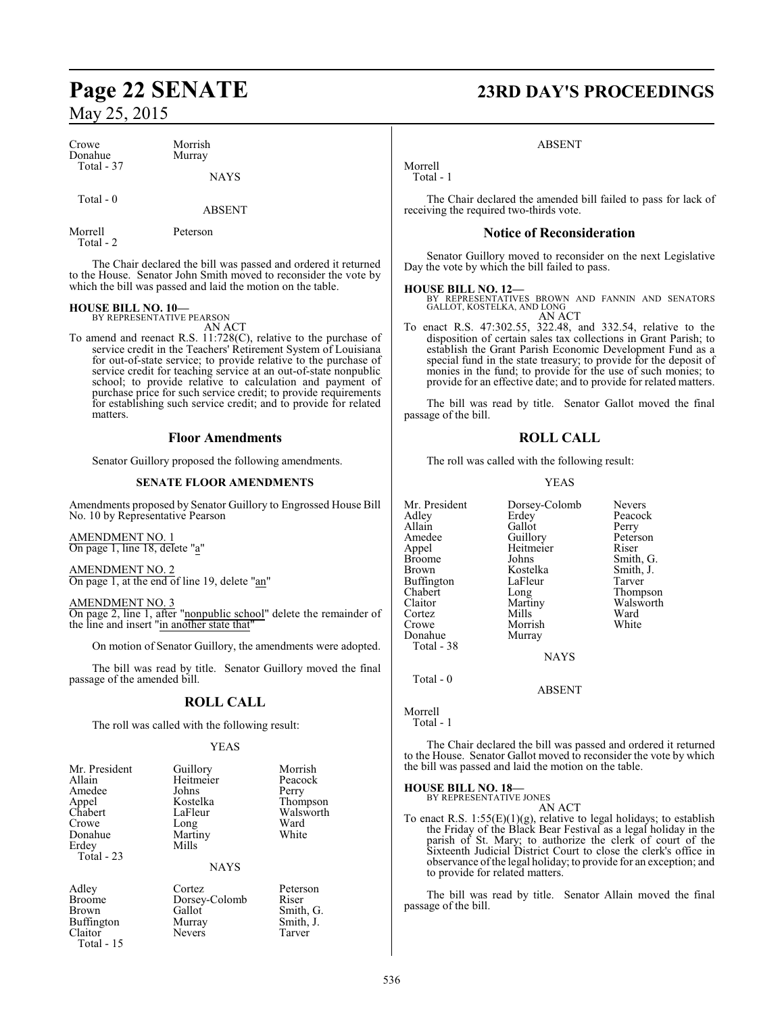| Crowe<br>Donahue | Morrish<br>Murray |  |
|------------------|-------------------|--|
| Total - 37       | <b>NAYS</b>       |  |
| Total - 0        |                   |  |

Morrell Peterson

Total - 2

The Chair declared the bill was passed and ordered it returned to the House. Senator John Smith moved to reconsider the vote by which the bill was passed and laid the motion on the table.

ABSENT

## **HOUSE BILL NO. 10—** BY REPRESENTATIVE PEARSON

AN ACT

To amend and reenact R.S. 11:728(C), relative to the purchase of service credit in the Teachers' Retirement System of Louisiana for out-of-state service; to provide relative to the purchase of service credit for teaching service at an out-of-state nonpublic school; to provide relative to calculation and payment of purchase price for such service credit; to provide requirements for establishing such service credit; and to provide for related matters.

#### **Floor Amendments**

Senator Guillory proposed the following amendments.

#### **SENATE FLOOR AMENDMENTS**

Amendments proposed by Senator Guillory to Engrossed House Bill No. 10 by Representative Pearson

AMENDMENT NO. 1 On page 1, line 18, delete "a"

AMENDMENT NO. 2 On page 1, at the end of line 19, delete "an"

AMENDMENT NO. 3 On page 2, line 1, after "nonpublic school" delete the remainder of the line and insert "in another state that"

On motion of Senator Guillory, the amendments were adopted.

The bill was read by title. Senator Guillory moved the final passage of the amended bill.

### **ROLL CALL**

The roll was called with the following result:

#### YEAS

| Guillory<br>Heitmeier<br>Johns<br>Kostelka<br>LaFleur<br>Long<br>Martiny<br>Mills | Morrish<br>Peacock<br>Perry<br>Thompson<br>Walsworth<br>Ward<br>White |
|-----------------------------------------------------------------------------------|-----------------------------------------------------------------------|
| <b>NAYS</b>                                                                       |                                                                       |
|                                                                                   |                                                                       |

Nevers

Broome Dorsey-Colomb<br>Brown Gallot Total - 15

Adley Cortez Peterson Gallot Smith, G.<br>Murray Smith, J. Buffington Murray Smith,<br>Claitor Nevers Tarver

## **Page 22 SENATE 23RD DAY'S PROCEEDINGS**

#### ABSENT

Morrell Total - 1

The Chair declared the amended bill failed to pass for lack of receiving the required two-thirds vote.

#### **Notice of Reconsideration**

Senator Guillory moved to reconsider on the next Legislative Day the vote by which the bill failed to pass.

**HOUSE BILL NO. 12—** BY REPRESENTATIVES BROWN AND FANNIN AND SENATORS GALLOT, KOSTELKA, AND LONG AN ACT

To enact R.S. 47:302.55, 322.48, and 332.54, relative to the disposition of certain sales tax collections in Grant Parish; to establish the Grant Parish Economic Development Fund as a special fund in the state treasury; to provide for the deposit of monies in the fund; to provide for the use of such monies; to provide for an effective date; and to provide for related matters.

The bill was read by title. Senator Gallot moved the final passage of the bill.

### **ROLL CALL**

The roll was called with the following result:

#### YEAS

|           | <b>Nevers</b>                              |
|-----------|--------------------------------------------|
|           | Peacock                                    |
| Gallot    | Perry                                      |
|           | Peterson                                   |
| Heitmeier | Riser                                      |
| Johns     | Smith, G.                                  |
| Kostelka  | Smith, J.                                  |
| LaFleur   | Tarver                                     |
|           | Thompson                                   |
| Martiny   | Walsworth                                  |
| Mills     | Ward                                       |
| Morrish   | White                                      |
| Murray    |                                            |
|           |                                            |
| NAYS      |                                            |
|           | Dorsey-Colomb<br>Erdey<br>Guillory<br>Long |

ABSENT

Morrell

Total - 1

Total - 0

The Chair declared the bill was passed and ordered it returned to the House. Senator Gallot moved to reconsider the vote by which the bill was passed and laid the motion on the table.

**HOUSE BILL NO. 18—** BY REPRESENTATIVE JONES

AN ACT

To enact R.S.  $1:55(E)(1)(g)$ , relative to legal holidays; to establish the Friday of the Black Bear Festival as a legal holiday in the parish of St. Mary; to authorize the clerk of court of the Sixteenth Judicial District Court to close the clerk's office in observance ofthe legal holiday; to provide for an exception; and to provide for related matters.

The bill was read by title. Senator Allain moved the final passage of the bill.

536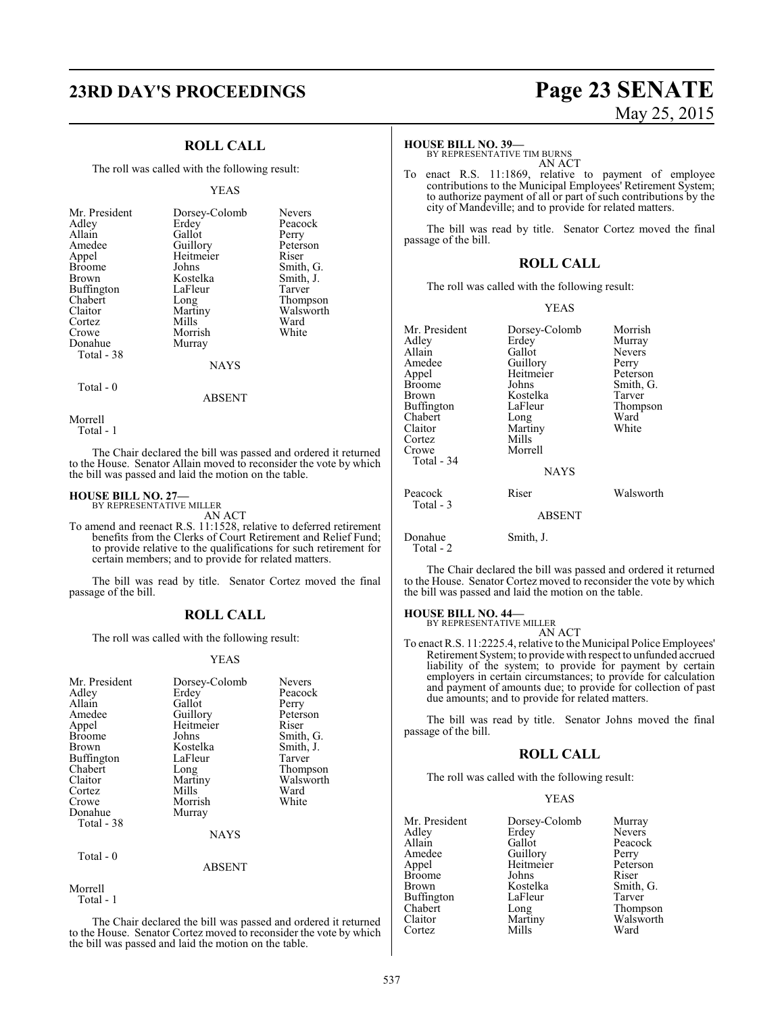# **23RD DAY'S PROCEEDINGS Page 23 SENATE**

#### **ROLL CALL**

The roll was called with the following result:

#### YEAS

| Mr. President<br>Adley<br>Allain<br>Amedee<br>Appel<br><b>Broome</b><br><b>Brown</b><br><b>Buffington</b><br>Chabert<br>Claitor<br>Cortez<br>Crowe | Dorsey-Colomb<br>Erdey<br>Gallot<br>Guillory<br>Heitmeier<br>Johns<br>Kostelka<br>LaFleur<br>Long<br>Martiny<br>Mills<br>Morrish | <b>Nevers</b><br>Peacock<br>Perry<br>Peterson<br>Riser<br>Smith, G.<br>Smith, J.<br>Tarver<br>Thompson<br>Walsworth<br>Ward<br>White |
|----------------------------------------------------------------------------------------------------------------------------------------------------|----------------------------------------------------------------------------------------------------------------------------------|--------------------------------------------------------------------------------------------------------------------------------------|
| Donahue<br>Total - 38                                                                                                                              | Murray                                                                                                                           |                                                                                                                                      |
|                                                                                                                                                    | <b>NAYS</b>                                                                                                                      |                                                                                                                                      |

Morrell

Total - 0

Total - 1

The Chair declared the bill was passed and ordered it returned to the House. Senator Allain moved to reconsider the vote by which the bill was passed and laid the motion on the table.

ABSENT

#### **HOUSE BILL NO. 27—** BY REPRESENTATIVE MILLER

AN ACT

To amend and reenact R.S. 11:1528, relative to deferred retirement benefits from the Clerks of Court Retirement and Relief Fund; to provide relative to the qualifications for such retirement for certain members; and to provide for related matters.

The bill was read by title. Senator Cortez moved the final passage of the bill.

#### **ROLL CALL**

The roll was called with the following result:

#### YEAS

| Guillory<br>Heitmeier<br>Riser<br>Appel<br>Smith, G.<br>Johns<br><b>Broome</b><br>Kostelka<br>Smith, J.<br><b>Brown</b><br>Buffington<br>LaFleur<br>Tarver<br>Chabert<br>Thompson<br>Long<br>Walsworth<br>Claitor<br>Martiny<br>Mills<br>Ward<br>Cortez<br>White<br>Morrish<br>Crowe<br>Donahue<br>Murray<br>Total - 38<br><b>NAYS</b> |  |
|----------------------------------------------------------------------------------------------------------------------------------------------------------------------------------------------------------------------------------------------------------------------------------------------------------------------------------------|--|
| Total - 0                                                                                                                                                                                                                                                                                                                              |  |

#### ABSENT

Morrell Total - 1

The Chair declared the bill was passed and ordered it returned to the House. Senator Cortez moved to reconsider the vote by which the bill was passed and laid the motion on the table.

# May 25, 2015

#### **HOUSE BILL NO. 39—**

BY REPRESENTATIVE TIM BURNS AN ACT

To enact R.S. 11:1869, relative to payment of employee contributions to the Municipal Employees' Retirement System; to authorize payment of all or part of such contributions by the city of Mandeville; and to provide for related matters.

The bill was read by title. Senator Cortez moved the final passage of the bill.

#### **ROLL CALL**

The roll was called with the following result:

#### YEAS

| Mr. President<br>Adlev<br>Allain<br>Amedee<br>Appel<br>Broome<br>Brown<br>Buffington<br>Chabert<br>Claitor<br>Cortez<br>Crowe<br>Total - 34 | Dorsey-Colomb<br>Erdey<br>Gallot<br>Guillory<br>Heitmeier<br>Johns<br>Kostelka<br>LaFleur<br>Long<br>Martiny<br>Mills<br>Morrell<br><b>NAYS</b> | Morrish<br>Murray<br><b>Nevers</b><br>Perry<br>Peterson<br>Smith, G.<br>Tarver<br>Thompson<br>Ward<br>White |
|---------------------------------------------------------------------------------------------------------------------------------------------|-------------------------------------------------------------------------------------------------------------------------------------------------|-------------------------------------------------------------------------------------------------------------|
| Peacock<br>Total - 3                                                                                                                        | Riser                                                                                                                                           | Walsworth                                                                                                   |
|                                                                                                                                             | <b>ABSENT</b>                                                                                                                                   |                                                                                                             |
| Donahue<br>Total - 2                                                                                                                        | Smith, J.                                                                                                                                       |                                                                                                             |

The Chair declared the bill was passed and ordered it returned to the House. Senator Cortez moved to reconsider the vote by which the bill was passed and laid the motion on the table.

## **HOUSE BILL NO. 44—** BY REPRESENTATIVE MILLER

AN ACT

To enact R.S. 11:2225.4, relative to the Municipal Police Employees' Retirement System; to provide with respect to unfunded accrued liability of the system; to provide for payment by certain employers in certain circumstances; to provide for calculation and payment of amounts due; to provide for collection of past due amounts; and to provide for related matters.

The bill was read by title. Senator Johns moved the final passage of the bill.

#### **ROLL CALL**

The roll was called with the following result:

#### YEAS

| Mr. President | Dorsey-Colomb | Murray        |
|---------------|---------------|---------------|
| Adlev         | Erdey         | <b>Nevers</b> |
| Allain        | Gallot        | Peacock       |
| Amedee        | Guillory      | Perry         |
| Appel         | Heitmeier     | Peterson      |
| <b>Broome</b> | Johns         | Riser         |
| Brown         | Kostelka      | Smith, G.     |
| Buffington    | LaFleur       | Tarver        |
| Chabert       | Long          | Thompson      |
| Claitor       | Martiny       | Walsworth     |
| Cortez        | Mills         | Ward          |
|               |               |               |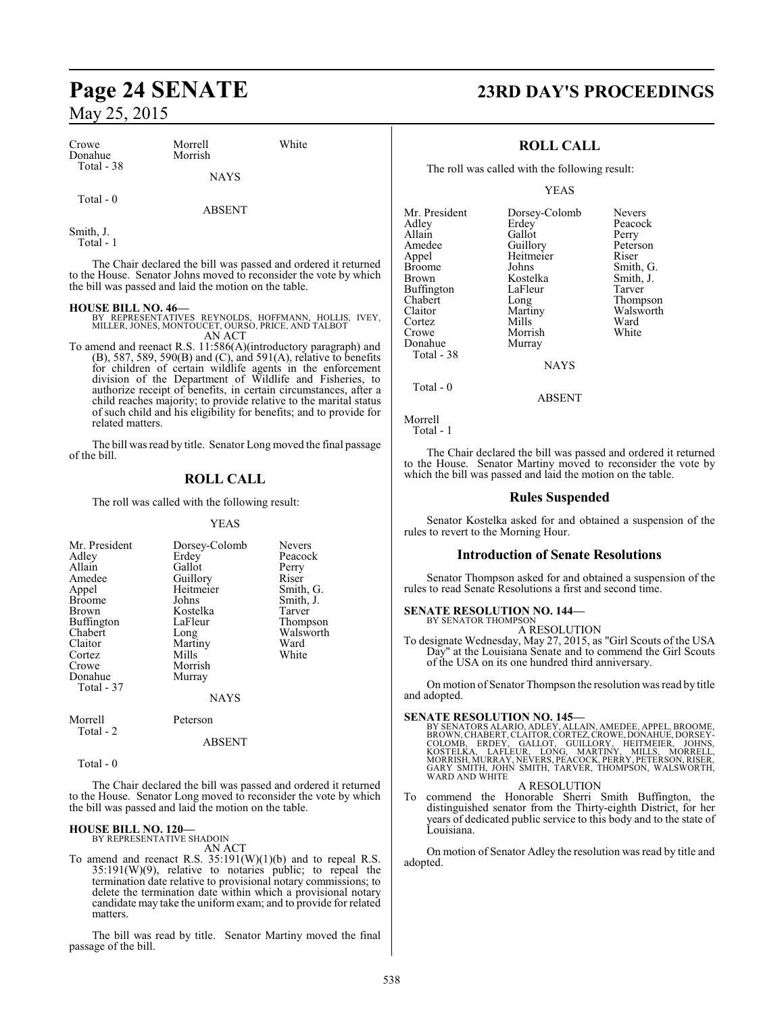| Crowe                 | Morrell     | White |
|-----------------------|-------------|-------|
| Donahue<br>Total - 38 | Morrish     |       |
|                       | <b>NAYS</b> |       |

ABSENT

#### Smith, J. Total - 1

Total - 0

The Chair declared the bill was passed and ordered it returned to the House. Senator Johns moved to reconsider the vote by which the bill was passed and laid the motion on the table.

#### **HOUSE BILL NO. 46—**

- BY REPRESENTATIVES REYNOLDS, HOFFMANN, HOLLIS, IVEY, MILLER, JONES, MONTOUCET, OURSO, PRICE, AND TALBOT AN ACT
- To amend and reenact R.S. 11:586(A)(introductory paragraph) and (B), 587, 589, 590(B) and (C), and 591(A), relative to benefits for children of certain wildlife agents in the enforcement division of the Department of Wildlife and Fisheries, to authorize receipt of benefits, in certain circumstances, after a child reaches majority; to provide relative to the marital status of such child and his eligibility for benefits; and to provide for related matters.

The bill was read by title. Senator Long moved the final passage of the bill.

## **ROLL CALL**

The roll was called with the following result:

#### YEAS

| Mr. President | Dorsey-Colomb | <b>Nevers</b> |
|---------------|---------------|---------------|
| Adley         | Erdey         | Peacock       |
| Allain        | Gallot        | Perry         |
| Amedee        | Guillory      | Riser         |
| Appel         | Heitmeier     | Smith, G.     |
| <b>Broome</b> | Johns         | Smith, J.     |
| Brown         | Kostelka      | Tarver        |
| Buffington    | LaFleur       | Thompson      |
| Chabert       | Long          | Walsworth     |
| Claitor       | Martiny       | Ward          |
| Cortez        | Mills         | White         |
| Crowe         | Morrish       |               |
| Donahue       | Murray        |               |
| Total - 37    |               |               |
|               | <b>NAYS</b>   |               |
| Morrell       | Peterson      |               |

| Morreu |  |
|--------|--|
| Total  |  |

ABSENT

Total - 0

The Chair declared the bill was passed and ordered it returned to the House. Senator Long moved to reconsider the vote by which the bill was passed and laid the motion on the table.

## **HOUSE BILL NO. 120—** BY REPRESENTATIVE SHADOIN

AN ACT

To amend and reenact R.S. 35:191(W)(1)(b) and to repeal R.S. 35:191(W)(9), relative to notaries public; to repeal the termination date relative to provisional notary commissions; to delete the termination date within which a provisional notary candidate may take the uniform exam; and to provide for related matters.

The bill was read by title. Senator Martiny moved the final passage of the bill.

## **Page 24 SENATE 23RD DAY'S PROCEEDINGS**

### **ROLL CALL**

The roll was called with the following result:

YEAS

| Mr. President | Dorsey-Colomb | <b>Nevers</b> |
|---------------|---------------|---------------|
| Adley         | Erdey         | Peacock       |
| Allain        | Gallot        | Perry         |
| Amedee        | Guillory      | Peterson      |
| Appel         | Heitmeier     | Riser         |
| <b>Broome</b> | Johns         | Smith, G.     |
| <b>Brown</b>  | Kostelka      | Smith, J.     |
| Buffington    | LaFleur       | Tarver        |
| Chabert       | Long          | Thompson      |
| Claitor       | Martiny       | Walswort      |
| Cortez        | Mills         | Ward          |
| Crowe         | Morrish       | White         |
| Donahue       | Murray        |               |
| Total - 38    |               |               |
|               | NAVS          |               |

Smith, J.<br>Tarver Thompson Walsworth<br>Ward

NAYS

ABSENT

Total - 0

Morrell

Total - 1

The Chair declared the bill was passed and ordered it returned to the House. Senator Martiny moved to reconsider the vote by which the bill was passed and laid the motion on the table.

#### **Rules Suspended**

Senator Kostelka asked for and obtained a suspension of the rules to revert to the Morning Hour.

#### **Introduction of Senate Resolutions**

Senator Thompson asked for and obtained a suspension of the rules to read Senate Resolutions a first and second time.

## **SENATE RESOLUTION NO. 144—** BY SENATOR THOMPSON

A RESOLUTION

To designate Wednesday, May 27, 2015, as "Girl Scouts of the USA Day" at the Louisiana Senate and to commend the Girl Scouts of the USA on its one hundred third anniversary.

On motion of Senator Thompson the resolution was read by title and adopted.

SENATE RESOLUTION NO. 145—<br>BY SENATORS ALARIO, ADLEY, ALLAIN, AMEDEE, APPEL, BROOME, BROWN, CHABERT, CLAITOR, CORTEZ, CROWE, DONAHUE, DORSEY-<br>COLOMB, ERDEY, GALLOT, GUILLORY, HEITMEIER, JOHNS,<br>KOSTELKA, LAFLEUR, LONG, MART WARD AND WHITE

A RESOLUTION

To commend the Honorable Sherri Smith Buffington, the distinguished senator from the Thirty-eighth District, for her years of dedicated public service to this body and to the state of Louisiana.

On motion of Senator Adley the resolution was read by title and adopted.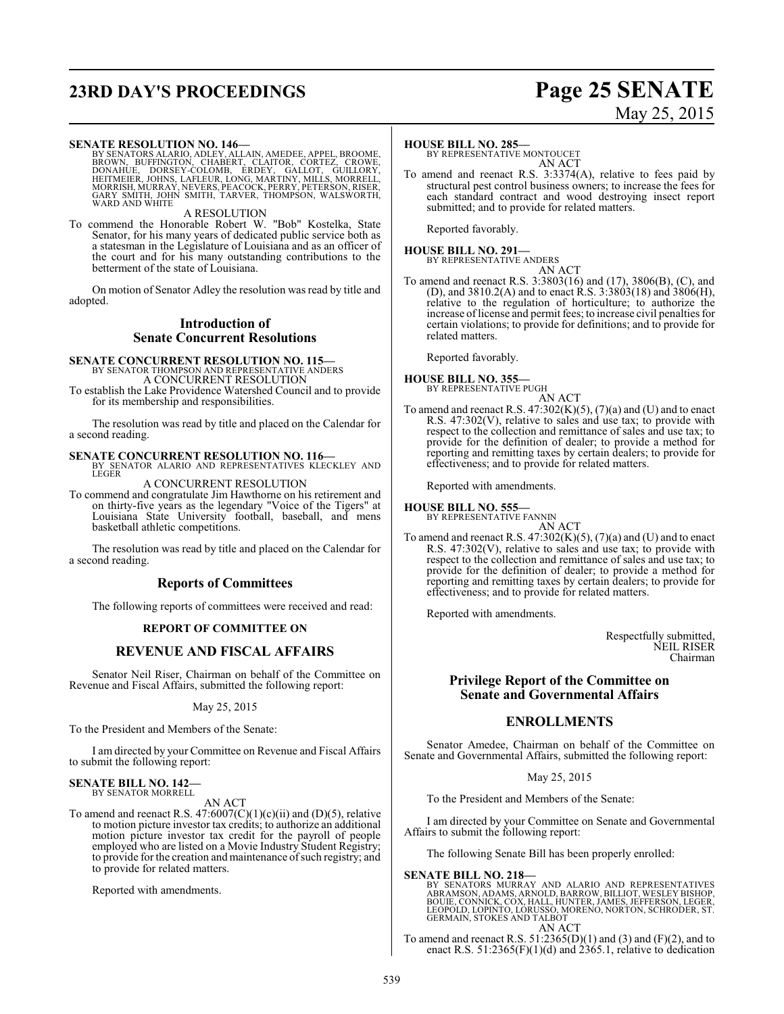## **23RD DAY'S PROCEEDINGS Page 25 SENATE**

#### **SENATE RESOLUTION NO. 146—**

BY SENATORS ALARIO, ADLEY, ALLAIN, AMEDEE, APPEL, BROOME,<br>BROWN, BUFFINGTON, CHABERT, CLAITOR, CORTEZ, CROWE,<br>DONAHUE, DORSEY-COLOMB, ERDEY, GALLOT, GUILLORY,<br>HEITMEIER, JOHNS, LAFLEUR, LONG, MARTINY, MILLS, MORRELL,<br>MORRI

A RESOLUTION

To commend the Honorable Robert W. "Bob" Kostelka, State Senator, for his many years of dedicated public service both as a statesman in the Legislature of Louisiana and as an officer of the court and for his many outstanding contributions to the betterment of the state of Louisiana.

On motion of Senator Adley the resolution was read by title and adopted.

#### **Introduction of Senate Concurrent Resolutions**

## **SENATE CONCURRENT RESOLUTION NO. 115—**

BY SENATOR THOMPSON AND REPRESENTATIVE ANDERS A CONCURRENT RESOLUTION

To establish the Lake Providence Watershed Council and to provide for its membership and responsibilities.

The resolution was read by title and placed on the Calendar for a second reading.

**SENATE CONCURRENT RESOLUTION NO. 116—**<br>BY SENATOR ALARIO AND REPRESENTATIVES KLECKLEY AND<br>LEGER

A CONCURRENT RESOLUTION

To commend and congratulate Jim Hawthorne on his retirement and on thirty-five years as the legendary "Voice of the Tigers" at Louisiana State University football, baseball, and mens basketball athletic competitions.

The resolution was read by title and placed on the Calendar for a second reading.

#### **Reports of Committees**

The following reports of committees were received and read:

#### **REPORT OF COMMITTEE ON**

#### **REVENUE AND FISCAL AFFAIRS**

Senator Neil Riser, Chairman on behalf of the Committee on Revenue and Fiscal Affairs, submitted the following report:

#### May 25, 2015

To the President and Members of the Senate:

I am directed by your Committee on Revenue and Fiscal Affairs to submit the following report:

#### **SENATE BILL NO. 142—** BY SENATOR MORRELL

AN ACT

To amend and reenact R.S.  $47:6007(C)(1)(c)(ii)$  and  $(D)(5)$ , relative to motion picture investor tax credits; to authorize an additional motion picture investor tax credit for the payroll of people employed who are listed on a Movie Industry Student Registry; to provide for the creation and maintenance of such registry; and to provide for related matters.

Reported with amendments.

#### **HOUSE BILL NO. 285—**

BY REPRESENTATIVE MONTOUCET AN ACT

To amend and reenact R.S. 3:3374(A), relative to fees paid by structural pest control business owners; to increase the fees for each standard contract and wood destroying insect report submitted; and to provide for related matters.

Reported favorably.

#### **HOUSE BILL NO. 291—** BY REPRESENTATIVE ANDERS AN ACT

To amend and reenact R.S. 3:3803(16) and (17), 3806(B), (C), and (D), and 3810.2(A) and to enact R.S. 3:3803(18) and 3806(H), relative to the regulation of horticulture; to authorize the increase oflicense and permit fees; to increase civil penalties for certain violations; to provide for definitions; and to provide for related matters.

Reported favorably.

#### **HOUSE BILL NO. 355—** BY REPRESENTATIVE PUGH

- AN ACT
- To amend and reenact R.S.  $47:302(K)(5)$ ,  $(7)(a)$  and (U) and to enact R.S. 47:302(V), relative to sales and use tax; to provide with respect to the collection and remittance of sales and use tax; to provide for the definition of dealer; to provide a method for reporting and remitting taxes by certain dealers; to provide for effectiveness; and to provide for related matters.

Reported with amendments.

#### **HOUSE BILL NO. 555—**

BY REPRESENTATIVE FANNIN AN ACT

To amend and reenact R.S.  $47:302(K)(5)$ ,  $(7)(a)$  and (U) and to enact R.S. 47:302(V), relative to sales and use tax; to provide with respect to the collection and remittance of sales and use tax; to provide for the definition of dealer; to provide a method for reporting and remitting taxes by certain dealers; to provide for effectiveness; and to provide for related matters.

Reported with amendments.

Respectfully submitted, NEIL RISER Chairman

#### **Privilege Report of the Committee on Senate and Governmental Affairs**

### **ENROLLMENTS**

Senator Amedee, Chairman on behalf of the Committee on Senate and Governmental Affairs, submitted the following report:

May 25, 2015

To the President and Members of the Senate:

I am directed by your Committee on Senate and Governmental Affairs to submit the following report:

The following Senate Bill has been properly enrolled:

#### **SENATE BILL NO. 218—**

BY SENATORS MURRAY AND ALARIO AND REPRESENTATIVES<br>ABRAMSON,ADAMS,ARNOLD,BARROW,BILLIOT,WESLEYBISHOP,<br>BOUIE,CONNICK,COX,HALL,HUNTER,JAMES,JEFFERSON,LEGER,<br>LEOPOLD,LOPINTO,LORUSSO,MORENO,NORTON,SCHRODER,ST.<br>GERMAIN,STOKES AN AN ACT

To amend and reenact R.S.  $51:2365(D)(1)$  and  $(3)$  and  $(F)(2)$ , and to enact R.S.  $51:2365(F)(1)(d)$  and  $2365.1$ , relative to dedication

# May 25, 2015